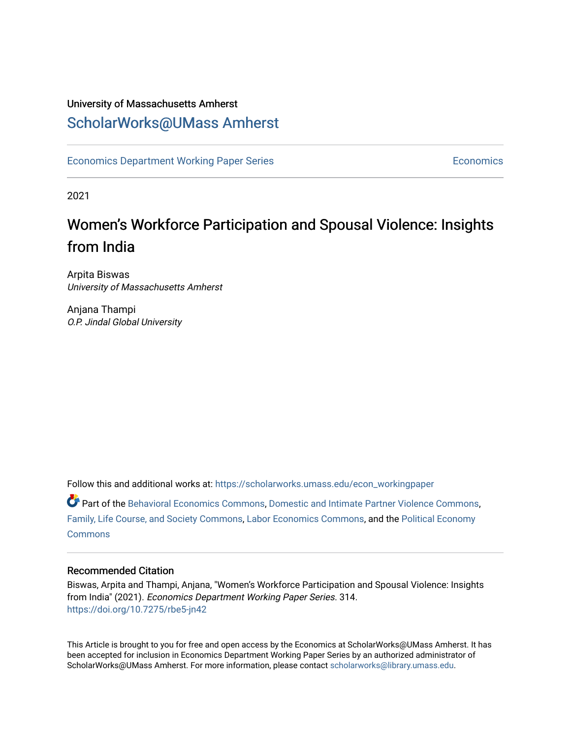# University of Massachusetts Amherst [ScholarWorks@UMass Amherst](https://scholarworks.umass.edu/)

[Economics Department Working Paper Series](https://scholarworks.umass.edu/econ_workingpaper) **Economics** [Economics](https://scholarworks.umass.edu/economics) Economics

2021

# Women's Workforce Participation and Spousal Violence: Insights from India

Arpita Biswas University of Massachusetts Amherst

Anjana Thampi O.P. Jindal Global University

Follow this and additional works at: [https://scholarworks.umass.edu/econ\\_workingpaper](https://scholarworks.umass.edu/econ_workingpaper?utm_source=scholarworks.umass.edu%2Fecon_workingpaper%2F314&utm_medium=PDF&utm_campaign=PDFCoverPages) 

Part of the [Behavioral Economics Commons](http://network.bepress.com/hgg/discipline/341?utm_source=scholarworks.umass.edu%2Fecon_workingpaper%2F314&utm_medium=PDF&utm_campaign=PDFCoverPages), [Domestic and Intimate Partner Violence Commons,](http://network.bepress.com/hgg/discipline/1309?utm_source=scholarworks.umass.edu%2Fecon_workingpaper%2F314&utm_medium=PDF&utm_campaign=PDFCoverPages) [Family, Life Course, and Society Commons](http://network.bepress.com/hgg/discipline/419?utm_source=scholarworks.umass.edu%2Fecon_workingpaper%2F314&utm_medium=PDF&utm_campaign=PDFCoverPages), [Labor Economics Commons,](http://network.bepress.com/hgg/discipline/349?utm_source=scholarworks.umass.edu%2Fecon_workingpaper%2F314&utm_medium=PDF&utm_campaign=PDFCoverPages) and the [Political Economy](http://network.bepress.com/hgg/discipline/352?utm_source=scholarworks.umass.edu%2Fecon_workingpaper%2F314&utm_medium=PDF&utm_campaign=PDFCoverPages)  **[Commons](http://network.bepress.com/hgg/discipline/352?utm_source=scholarworks.umass.edu%2Fecon_workingpaper%2F314&utm_medium=PDF&utm_campaign=PDFCoverPages)** 

# Recommended Citation

Biswas, Arpita and Thampi, Anjana, "Women's Workforce Participation and Spousal Violence: Insights from India" (2021). Economics Department Working Paper Series. 314. <https://doi.org/10.7275/rbe5-jn42>

This Article is brought to you for free and open access by the Economics at ScholarWorks@UMass Amherst. It has been accepted for inclusion in Economics Department Working Paper Series by an authorized administrator of ScholarWorks@UMass Amherst. For more information, please contact [scholarworks@library.umass.edu.](mailto:scholarworks@library.umass.edu)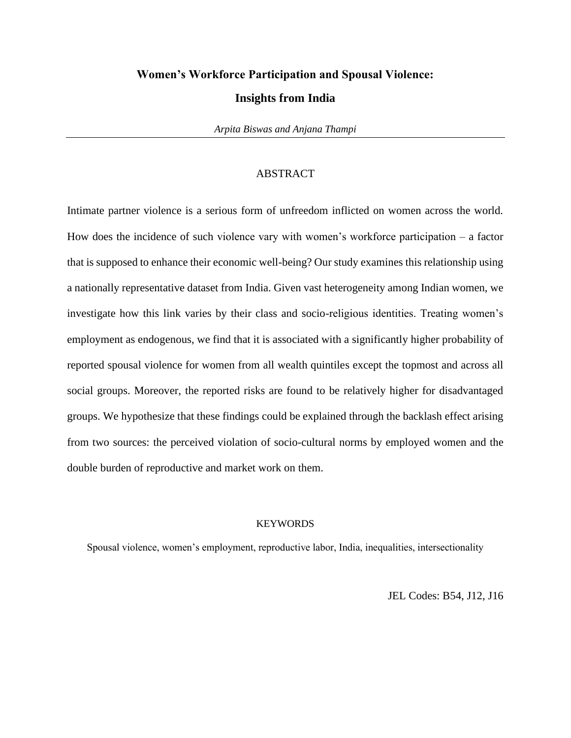# **Women's Workforce Participation and Spousal Violence:**

#### **Insights from India**

*Arpita Biswas and Anjana Thampi*

# ABSTRACT

Intimate partner violence is a serious form of unfreedom inflicted on women across the world. How does the incidence of such violence vary with women's workforce participation – a factor that is supposed to enhance their economic well-being? Our study examines this relationship using a nationally representative dataset from India. Given vast heterogeneity among Indian women, we investigate how this link varies by their class and socio-religious identities. Treating women's employment as endogenous, we find that it is associated with a significantly higher probability of reported spousal violence for women from all wealth quintiles except the topmost and across all social groups. Moreover, the reported risks are found to be relatively higher for disadvantaged groups. We hypothesize that these findings could be explained through the backlash effect arising from two sources: the perceived violation of socio-cultural norms by employed women and the double burden of reproductive and market work on them.

# **KEYWORDS**

Spousal violence, women's employment, reproductive labor, India, inequalities, intersectionality

JEL Codes: B54, J12, J16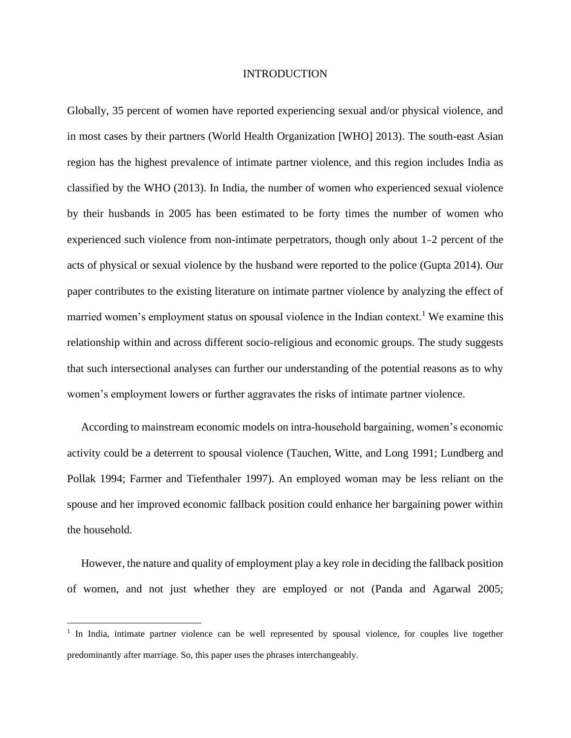#### INTRODUCTION

Globally, 35 percent of women have reported experiencing sexual and/or physical violence, and in most cases by their partners (World Health Organization [WHO] 2013). The south-east Asian region has the highest prevalence of intimate partner violence, and this region includes India as classified by the WHO (2013). In India, the number of women who experienced sexual violence by their husbands in 2005 has been estimated to be forty times the number of women who experienced such violence from non-intimate perpetrators, though only about 1–2 percent of the acts of physical or sexual violence by the husband were reported to the police (Gupta 2014). Our paper contributes to the existing literature on intimate partner violence by analyzing the effect of married women's employment status on spousal violence in the Indian context.<sup>1</sup> We examine this relationship within and across different socio-religious and economic groups. The study suggests that such intersectional analyses can further our understanding of the potential reasons as to why women's employment lowers or further aggravates the risks of intimate partner violence.

 According to mainstream economic models on intra-household bargaining, women's economic activity could be a deterrent to spousal violence (Tauchen, Witte, and Long 1991; Lundberg and Pollak 1994; Farmer and Tiefenthaler 1997). An employed woman may be less reliant on the spouse and her improved economic fallback position could enhance her bargaining power within the household.

 However, the nature and quality of employment play a key role in deciding the fallback position of women, and not just whether they are employed or not (Panda and Agarwal 2005;

<sup>&</sup>lt;sup>1</sup> In India, intimate partner violence can be well represented by spousal violence, for couples live together predominantly after marriage. So, this paper uses the phrases interchangeably.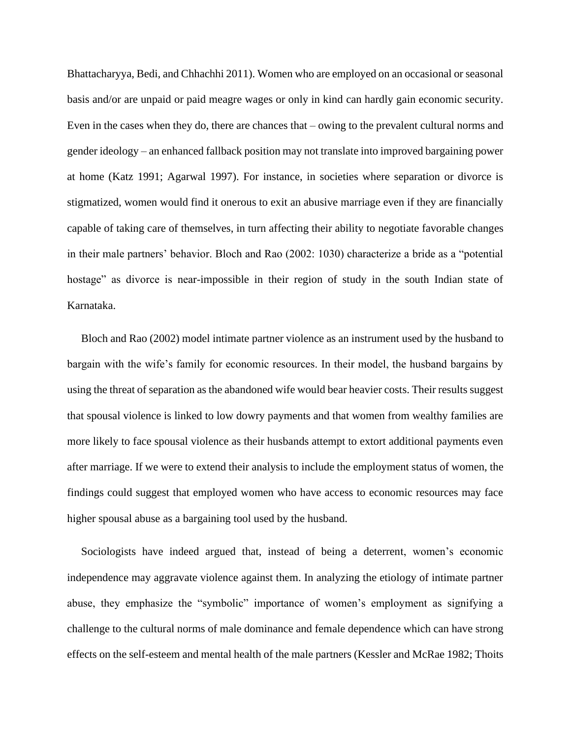Bhattacharyya, Bedi, and Chhachhi 2011). Women who are employed on an occasional or seasonal basis and/or are unpaid or paid meagre wages or only in kind can hardly gain economic security. Even in the cases when they do, there are chances that – owing to the prevalent cultural norms and gender ideology – an enhanced fallback position may not translate into improved bargaining power at home (Katz 1991; Agarwal 1997). For instance, in societies where separation or divorce is stigmatized, women would find it onerous to exit an abusive marriage even if they are financially capable of taking care of themselves, in turn affecting their ability to negotiate favorable changes in their male partners' behavior. Bloch and Rao (2002: 1030) characterize a bride as a "potential hostage" as divorce is near-impossible in their region of study in the south Indian state of Karnataka.

 Bloch and Rao (2002) model intimate partner violence as an instrument used by the husband to bargain with the wife's family for economic resources. In their model, the husband bargains by using the threat of separation as the abandoned wife would bear heavier costs. Their results suggest that spousal violence is linked to low dowry payments and that women from wealthy families are more likely to face spousal violence as their husbands attempt to extort additional payments even after marriage. If we were to extend their analysis to include the employment status of women, the findings could suggest that employed women who have access to economic resources may face higher spousal abuse as a bargaining tool used by the husband.

 Sociologists have indeed argued that, instead of being a deterrent, women's economic independence may aggravate violence against them. In analyzing the etiology of intimate partner abuse, they emphasize the "symbolic" importance of women's employment as signifying a challenge to the cultural norms of male dominance and female dependence which can have strong effects on the self-esteem and mental health of the male partners (Kessler and McRae 1982; Thoits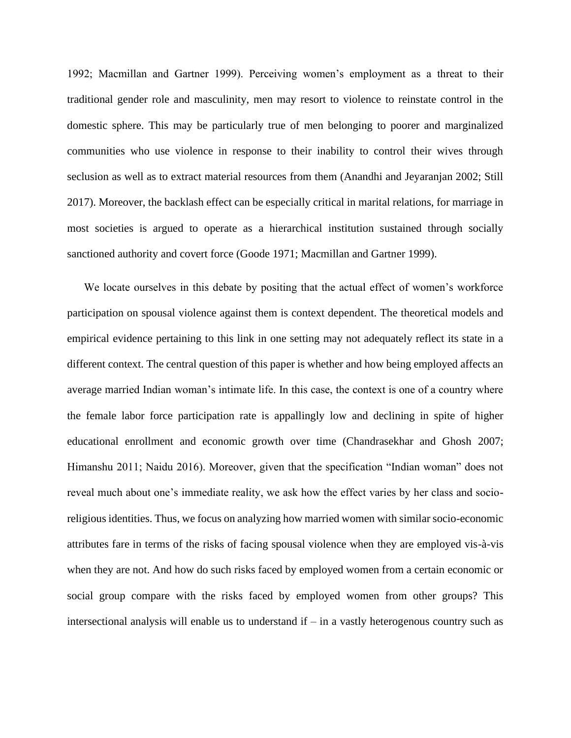1992; Macmillan and Gartner 1999). Perceiving women's employment as a threat to their traditional gender role and masculinity, men may resort to violence to reinstate control in the domestic sphere. This may be particularly true of men belonging to poorer and marginalized communities who use violence in response to their inability to control their wives through seclusion as well as to extract material resources from them (Anandhi and Jeyaranjan 2002; Still 2017). Moreover, the backlash effect can be especially critical in marital relations, for marriage in most societies is argued to operate as a hierarchical institution sustained through socially sanctioned authority and covert force (Goode 1971; Macmillan and Gartner 1999).

 We locate ourselves in this debate by positing that the actual effect of women's workforce participation on spousal violence against them is context dependent. The theoretical models and empirical evidence pertaining to this link in one setting may not adequately reflect its state in a different context. The central question of this paper is whether and how being employed affects an average married Indian woman's intimate life. In this case, the context is one of a country where the female labor force participation rate is appallingly low and declining in spite of higher educational enrollment and economic growth over time (Chandrasekhar and Ghosh 2007; Himanshu 2011; Naidu 2016). Moreover, given that the specification "Indian woman" does not reveal much about one's immediate reality, we ask how the effect varies by her class and socioreligious identities. Thus, we focus on analyzing how married women with similar socio-economic attributes fare in terms of the risks of facing spousal violence when they are employed vis-à-vis when they are not. And how do such risks faced by employed women from a certain economic or social group compare with the risks faced by employed women from other groups? This intersectional analysis will enable us to understand if – in a vastly heterogenous country such as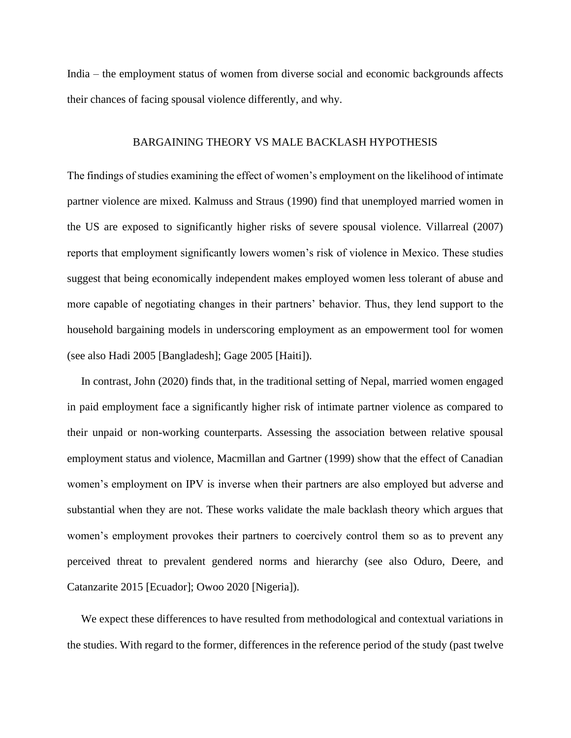India – the employment status of women from diverse social and economic backgrounds affects their chances of facing spousal violence differently, and why.

#### BARGAINING THEORY VS MALE BACKLASH HYPOTHESIS

The findings of studies examining the effect of women's employment on the likelihood of intimate partner violence are mixed. Kalmuss and Straus (1990) find that unemployed married women in the US are exposed to significantly higher risks of severe spousal violence. Villarreal (2007) reports that employment significantly lowers women's risk of violence in Mexico. These studies suggest that being economically independent makes employed women less tolerant of abuse and more capable of negotiating changes in their partners' behavior. Thus, they lend support to the household bargaining models in underscoring employment as an empowerment tool for women (see also Hadi 2005 [Bangladesh]; Gage 2005 [Haiti]).

 In contrast, John (2020) finds that, in the traditional setting of Nepal, married women engaged in paid employment face a significantly higher risk of intimate partner violence as compared to their unpaid or non-working counterparts. Assessing the association between relative spousal employment status and violence, Macmillan and Gartner (1999) show that the effect of Canadian women's employment on IPV is inverse when their partners are also employed but adverse and substantial when they are not. These works validate the male backlash theory which argues that women's employment provokes their partners to coercively control them so as to prevent any perceived threat to prevalent gendered norms and hierarchy (see also Oduro, Deere, and Catanzarite 2015 [Ecuador]; Owoo 2020 [Nigeria]).

 We expect these differences to have resulted from methodological and contextual variations in the studies. With regard to the former, differences in the reference period of the study (past twelve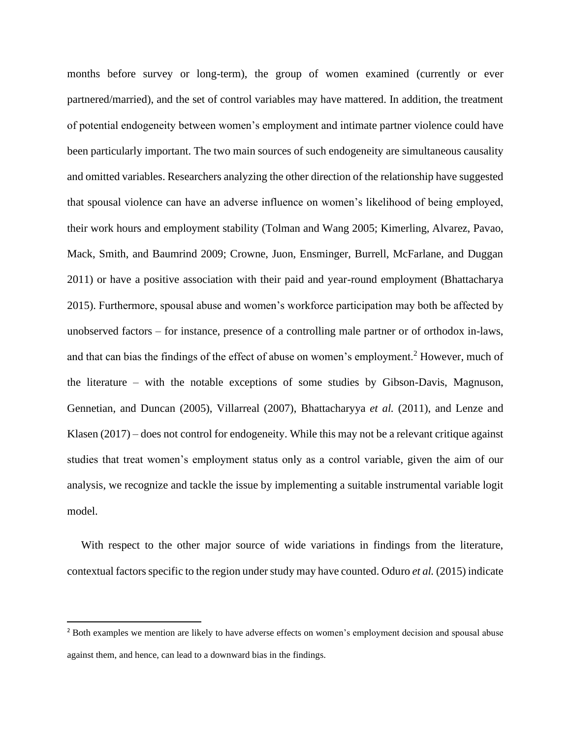months before survey or long-term), the group of women examined (currently or ever partnered/married), and the set of control variables may have mattered. In addition, the treatment of potential endogeneity between women's employment and intimate partner violence could have been particularly important. The two main sources of such endogeneity are simultaneous causality and omitted variables. Researchers analyzing the other direction of the relationship have suggested that spousal violence can have an adverse influence on women's likelihood of being employed, their work hours and employment stability (Tolman and Wang 2005; Kimerling, Alvarez, Pavao, Mack, Smith, and Baumrind 2009; Crowne, Juon, Ensminger, Burrell, McFarlane, and Duggan 2011) or have a positive association with their paid and year-round employment (Bhattacharya 2015). Furthermore, spousal abuse and women's workforce participation may both be affected by unobserved factors – for instance, presence of a controlling male partner or of orthodox in-laws, and that can bias the findings of the effect of abuse on women's employment.<sup>2</sup> However, much of the literature – with the notable exceptions of some studies by Gibson-Davis, Magnuson, Gennetian, and Duncan (2005), Villarreal (2007), Bhattacharyya *et al.* (2011), and Lenze and Klasen (2017) – does not control for endogeneity. While this may not be a relevant critique against studies that treat women's employment status only as a control variable, given the aim of our analysis, we recognize and tackle the issue by implementing a suitable instrumental variable logit model.

 With respect to the other major source of wide variations in findings from the literature, contextual factors specific to the region under study may have counted. Oduro *et al.* (2015) indicate

<sup>&</sup>lt;sup>2</sup> Both examples we mention are likely to have adverse effects on women's employment decision and spousal abuse against them, and hence, can lead to a downward bias in the findings.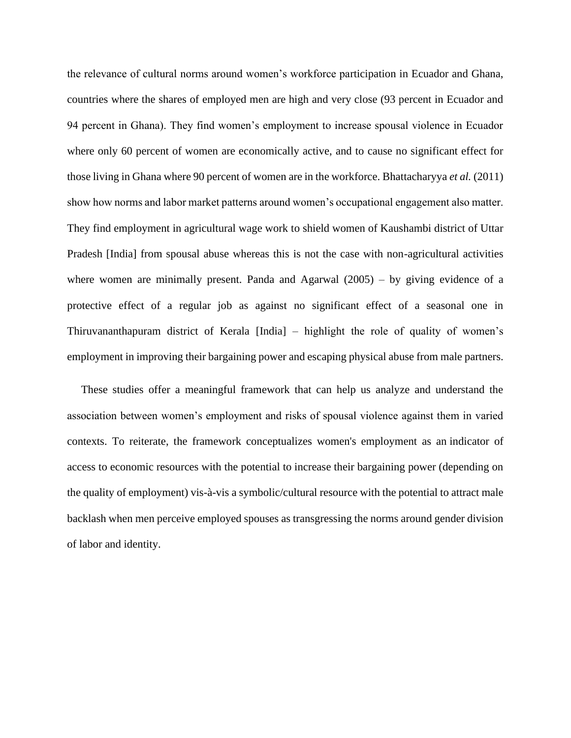the relevance of cultural norms around women's workforce participation in Ecuador and Ghana, countries where the shares of employed men are high and very close (93 percent in Ecuador and 94 percent in Ghana). They find women's employment to increase spousal violence in Ecuador where only 60 percent of women are economically active, and to cause no significant effect for those living in Ghana where 90 percent of women are in the workforce. Bhattacharyya *et al.* (2011) show how norms and labor market patterns around women's occupational engagement also matter. They find employment in agricultural wage work to shield women of Kaushambi district of Uttar Pradesh [India] from spousal abuse whereas this is not the case with non-agricultural activities where women are minimally present. Panda and Agarwal (2005) – by giving evidence of a protective effect of a regular job as against no significant effect of a seasonal one in Thiruvananthapuram district of Kerala [India] – highlight the role of quality of women's employment in improving their bargaining power and escaping physical abuse from male partners.

 These studies offer a meaningful framework that can help us analyze and understand the association between women's employment and risks of spousal violence against them in varied contexts. To reiterate, the framework conceptualizes women's employment as an indicator of access to economic resources with the potential to increase their bargaining power (depending on the quality of employment) vis-à-vis a symbolic/cultural resource with the potential to attract male backlash when men perceive employed spouses as transgressing the norms around gender division of labor and identity.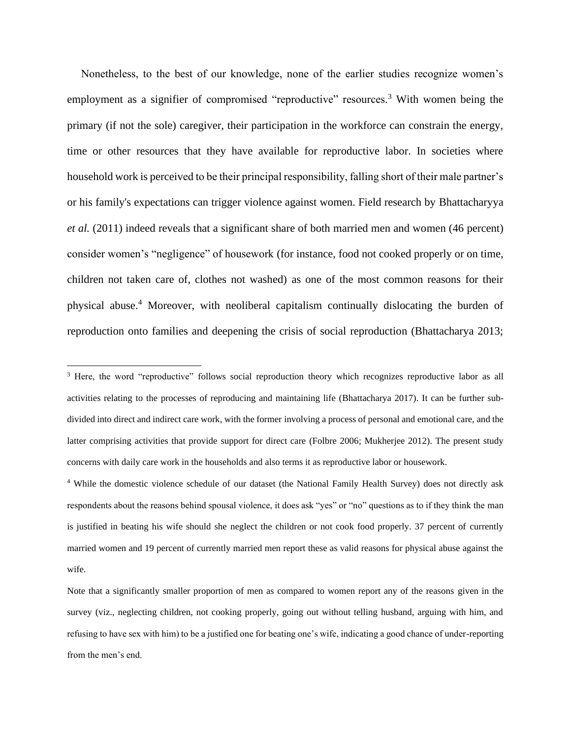Nonetheless, to the best of our knowledge, none of the earlier studies recognize women's employment as a signifier of compromised "reproductive" resources.<sup>3</sup> With women being the primary (if not the sole) caregiver, their participation in the workforce can constrain the energy, time or other resources that they have available for reproductive labor. In societies where household work is perceived to be their principal responsibility, falling short of their male partner's or his family's expectations can trigger violence against women. Field research by Bhattacharyya *et al.* (2011) indeed reveals that a significant share of both married men and women (46 percent) consider women's "negligence" of housework (for instance, food not cooked properly or on time, children not taken care of, clothes not washed) as one of the most common reasons for their physical abuse.<sup>4</sup> Moreover, with neoliberal capitalism continually dislocating the burden of reproduction onto families and deepening the crisis of social reproduction (Bhattacharya 2013;

<sup>4</sup> While the domestic violence schedule of our dataset (the National Family Health Survey) does not directly ask respondents about the reasons behind spousal violence, it does ask "yes" or "no" questions as to if they think the man is justified in beating his wife should she neglect the children or not cook food properly. 37 percent of currently married women and 19 percent of currently married men report these as valid reasons for physical abuse against the wife.

Note that a significantly smaller proportion of men as compared to women report any of the reasons given in the survey (viz., neglecting children, not cooking properly, going out without telling husband, arguing with him, and refusing to have sex with him) to be a justified one for beating one's wife, indicating a good chance of under-reporting from the men's end.

<sup>&</sup>lt;sup>3</sup> Here, the word "reproductive" follows social reproduction theory which recognizes reproductive labor as all activities relating to the processes of reproducing and maintaining life (Bhattacharya 2017). It can be further subdivided into direct and indirect care work, with the former involving a process of personal and emotional care, and the latter comprising activities that provide support for direct care (Folbre 2006; Mukherjee 2012). The present study concerns with daily care work in the households and also terms it as reproductive labor or housework.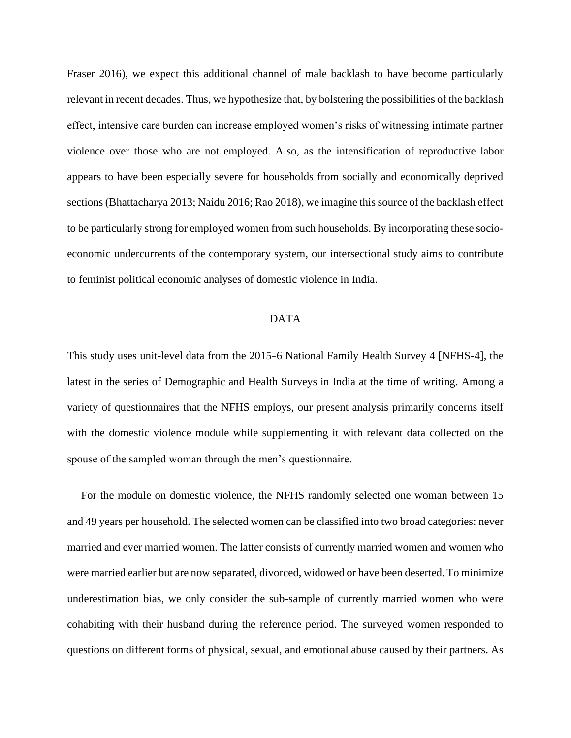Fraser 2016), we expect this additional channel of male backlash to have become particularly relevant in recent decades. Thus, we hypothesize that, by bolstering the possibilities of the backlash effect, intensive care burden can increase employed women's risks of witnessing intimate partner violence over those who are not employed. Also, as the intensification of reproductive labor appears to have been especially severe for households from socially and economically deprived sections (Bhattacharya 2013; Naidu 2016; Rao 2018), we imagine this source of the backlash effect to be particularly strong for employed women from such households. By incorporating these socioeconomic undercurrents of the contemporary system, our intersectional study aims to contribute to feminist political economic analyses of domestic violence in India.

# DATA

This study uses unit-level data from the 2015–6 National Family Health Survey 4 [NFHS-4], the latest in the series of Demographic and Health Surveys in India at the time of writing. Among a variety of questionnaires that the NFHS employs, our present analysis primarily concerns itself with the domestic violence module while supplementing it with relevant data collected on the spouse of the sampled woman through the men's questionnaire.

 For the module on domestic violence, the NFHS randomly selected one woman between 15 and 49 years per household. The selected women can be classified into two broad categories: never married and ever married women. The latter consists of currently married women and women who were married earlier but are now separated, divorced, widowed or have been deserted. To minimize underestimation bias, we only consider the sub-sample of currently married women who were cohabiting with their husband during the reference period. The surveyed women responded to questions on different forms of physical, sexual, and emotional abuse caused by their partners. As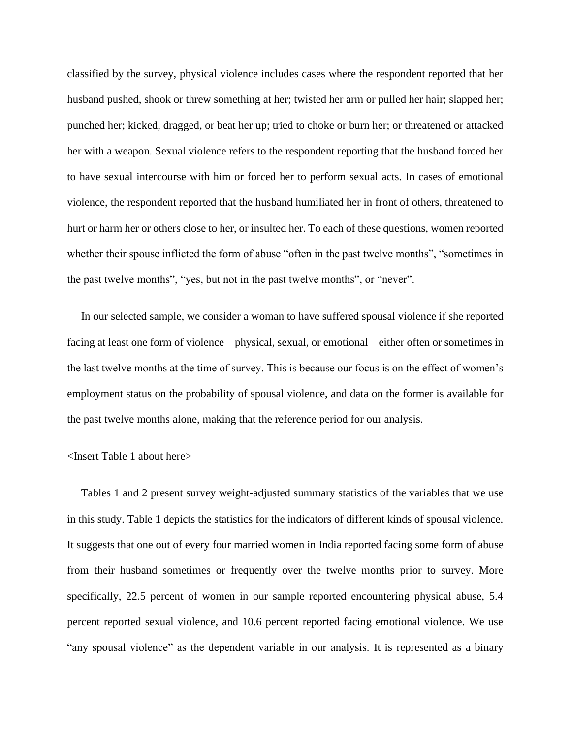classified by the survey, physical violence includes cases where the respondent reported that her husband pushed, shook or threw something at her; twisted her arm or pulled her hair; slapped her; punched her; kicked, dragged, or beat her up; tried to choke or burn her; or threatened or attacked her with a weapon. Sexual violence refers to the respondent reporting that the husband forced her to have sexual intercourse with him or forced her to perform sexual acts. In cases of emotional violence, the respondent reported that the husband humiliated her in front of others, threatened to hurt or harm her or others close to her, or insulted her. To each of these questions, women reported whether their spouse inflicted the form of abuse "often in the past twelve months", "sometimes in the past twelve months", "yes, but not in the past twelve months", or "never".

 In our selected sample, we consider a woman to have suffered spousal violence if she reported facing at least one form of violence – physical, sexual, or emotional – either often or sometimes in the last twelve months at the time of survey. This is because our focus is on the effect of women's employment status on the probability of spousal violence, and data on the former is available for the past twelve months alone, making that the reference period for our analysis.

# <Insert Table 1 about here>

 Tables 1 and 2 present survey weight-adjusted summary statistics of the variables that we use in this study. Table 1 depicts the statistics for the indicators of different kinds of spousal violence. It suggests that one out of every four married women in India reported facing some form of abuse from their husband sometimes or frequently over the twelve months prior to survey. More specifically, 22.5 percent of women in our sample reported encountering physical abuse, 5.4 percent reported sexual violence, and 10.6 percent reported facing emotional violence. We use "any spousal violence" as the dependent variable in our analysis. It is represented as a binary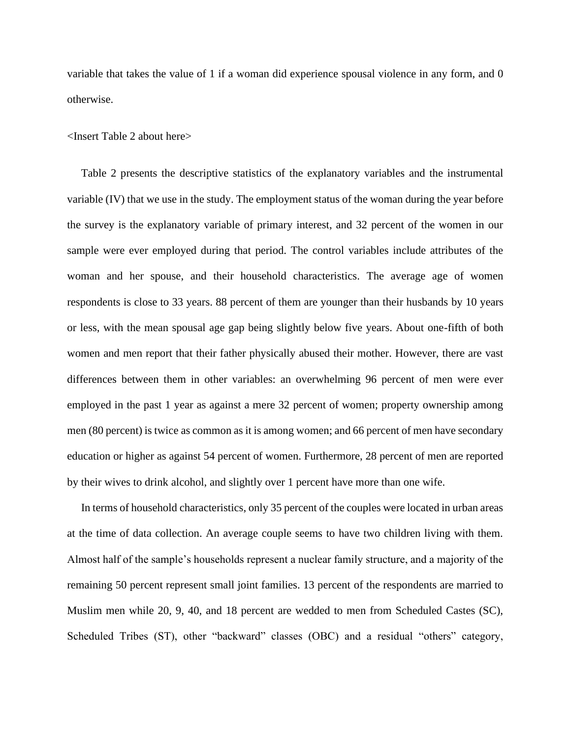variable that takes the value of 1 if a woman did experience spousal violence in any form, and 0 otherwise.

<Insert Table 2 about here>

 Table 2 presents the descriptive statistics of the explanatory variables and the instrumental variable (IV) that we use in the study. The employment status of the woman during the year before the survey is the explanatory variable of primary interest, and 32 percent of the women in our sample were ever employed during that period. The control variables include attributes of the woman and her spouse, and their household characteristics. The average age of women respondents is close to 33 years. 88 percent of them are younger than their husbands by 10 years or less, with the mean spousal age gap being slightly below five years. About one-fifth of both women and men report that their father physically abused their mother. However, there are vast differences between them in other variables: an overwhelming 96 percent of men were ever employed in the past 1 year as against a mere 32 percent of women; property ownership among men (80 percent) is twice as common as it is among women; and 66 percent of men have secondary education or higher as against 54 percent of women. Furthermore, 28 percent of men are reported by their wives to drink alcohol, and slightly over 1 percent have more than one wife.

 In terms of household characteristics, only 35 percent of the couples were located in urban areas at the time of data collection. An average couple seems to have two children living with them. Almost half of the sample's households represent a nuclear family structure, and a majority of the remaining 50 percent represent small joint families. 13 percent of the respondents are married to Muslim men while 20, 9, 40, and 18 percent are wedded to men from Scheduled Castes (SC), Scheduled Tribes (ST), other "backward" classes (OBC) and a residual "others" category,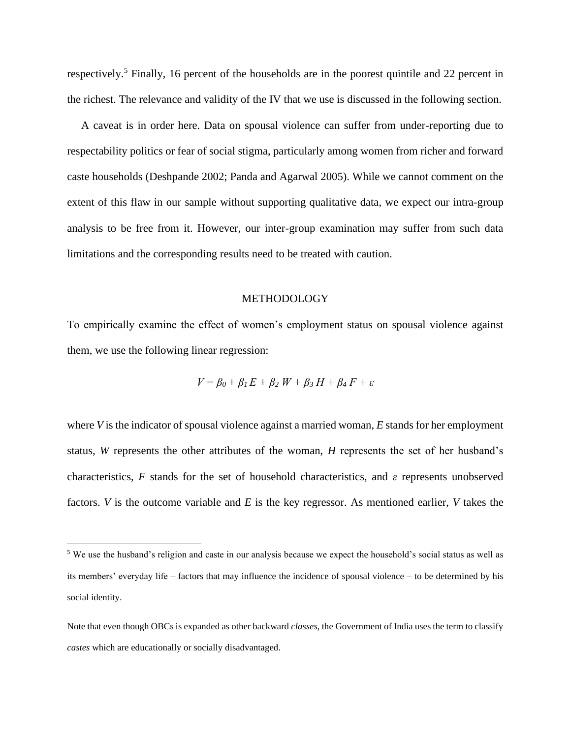respectively.<sup>5</sup> Finally, 16 percent of the households are in the poorest quintile and 22 percent in the richest. The relevance and validity of the IV that we use is discussed in the following section.

 A caveat is in order here. Data on spousal violence can suffer from under-reporting due to respectability politics or fear of social stigma, particularly among women from richer and forward caste households (Deshpande 2002; Panda and Agarwal 2005). While we cannot comment on the extent of this flaw in our sample without supporting qualitative data, we expect our intra-group analysis to be free from it. However, our inter-group examination may suffer from such data limitations and the corresponding results need to be treated with caution.

# METHODOLOGY

To empirically examine the effect of women's employment status on spousal violence against them, we use the following linear regression:

$$
V = \beta_0 + \beta_1 E + \beta_2 W + \beta_3 H + \beta_4 F + \varepsilon
$$

where *V* is the indicator of spousal violence against a married woman, *E* stands for her employment status, *W* represents the other attributes of the woman, *H* represents the set of her husband's characteristics, *F* stands for the set of household characteristics, and *ε* represents unobserved factors. *V* is the outcome variable and *E* is the key regressor. As mentioned earlier, *V* takes the

<sup>5</sup> We use the husband's religion and caste in our analysis because we expect the household's social status as well as its members' everyday life – factors that may influence the incidence of spousal violence – to be determined by his social identity.

Note that even though OBCs is expanded as other backward *classes*, the Government of India uses the term to classify *castes* which are educationally or socially disadvantaged.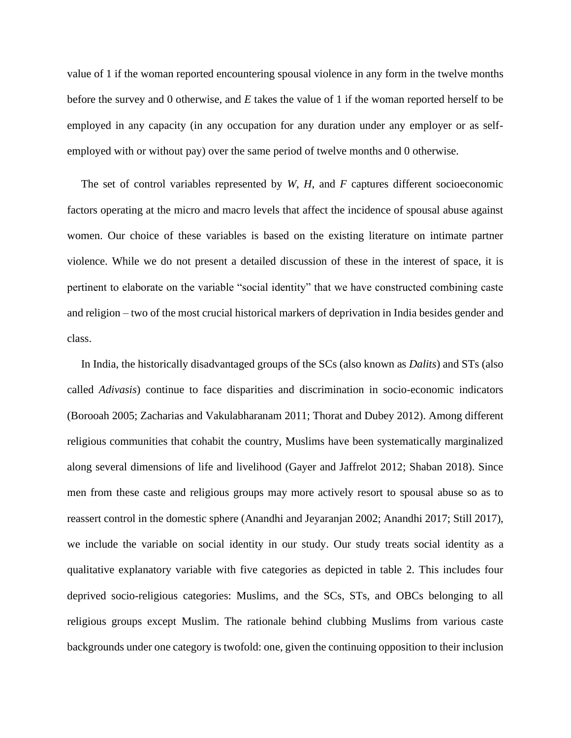value of 1 if the woman reported encountering spousal violence in any form in the twelve months before the survey and 0 otherwise, and *E* takes the value of 1 if the woman reported herself to be employed in any capacity (in any occupation for any duration under any employer or as selfemployed with or without pay) over the same period of twelve months and 0 otherwise.

 The set of control variables represented by *W*, *H*, and *F* captures different socioeconomic factors operating at the micro and macro levels that affect the incidence of spousal abuse against women. Our choice of these variables is based on the existing literature on intimate partner violence. While we do not present a detailed discussion of these in the interest of space, it is pertinent to elaborate on the variable "social identity" that we have constructed combining caste and religion – two of the most crucial historical markers of deprivation in India besides gender and class.

 In India, the historically disadvantaged groups of the SCs (also known as *Dalits*) and STs (also called *Adivasis*) continue to face disparities and discrimination in socio-economic indicators (Borooah 2005; Zacharias and Vakulabharanam 2011; Thorat and Dubey 2012). Among different religious communities that cohabit the country, Muslims have been systematically marginalized along several dimensions of life and livelihood (Gayer and Jaffrelot 2012; Shaban 2018). Since men from these caste and religious groups may more actively resort to spousal abuse so as to reassert control in the domestic sphere (Anandhi and Jeyaranjan 2002; Anandhi 2017; Still 2017), we include the variable on social identity in our study. Our study treats social identity as a qualitative explanatory variable with five categories as depicted in table 2. This includes four deprived socio-religious categories: Muslims, and the SCs, STs, and OBCs belonging to all religious groups except Muslim. The rationale behind clubbing Muslims from various caste backgrounds under one category is twofold: one, given the continuing opposition to their inclusion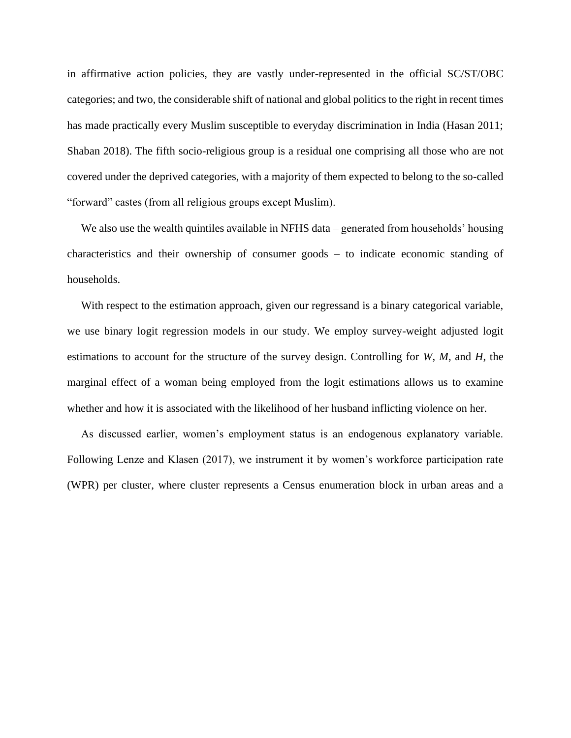in affirmative action policies, they are vastly under-represented in the official SC/ST/OBC categories; and two, the considerable shift of national and global politics to the right in recent times has made practically every Muslim susceptible to everyday discrimination in India (Hasan 2011; Shaban 2018). The fifth socio-religious group is a residual one comprising all those who are not covered under the deprived categories, with a majority of them expected to belong to the so-called "forward" castes (from all religious groups except Muslim).

We also use the wealth quintiles available in NFHS data – generated from households' housing characteristics and their ownership of consumer goods – to indicate economic standing of households.

With respect to the estimation approach, given our regressand is a binary categorical variable, we use binary logit regression models in our study. We employ survey-weight adjusted logit estimations to account for the structure of the survey design. Controlling for *W*, *M*, and *H*, the marginal effect of a woman being employed from the logit estimations allows us to examine whether and how it is associated with the likelihood of her husband inflicting violence on her.

 As discussed earlier, women's employment status is an endogenous explanatory variable. Following Lenze and Klasen (2017), we instrument it by women's workforce participation rate (WPR) per cluster, where cluster represents a Census enumeration block in urban areas and a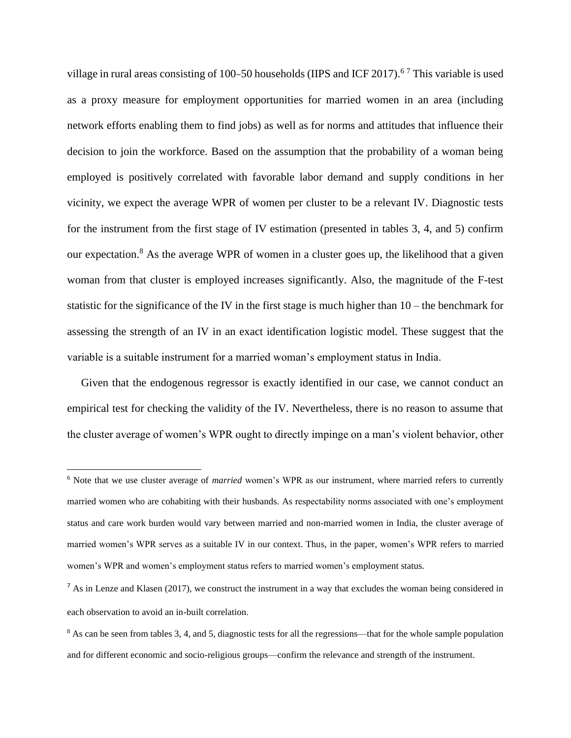village in rural areas consisting of 100–50 households (IIPS and ICF 2017).<sup>67</sup> This variable is used as a proxy measure for employment opportunities for married women in an area (including network efforts enabling them to find jobs) as well as for norms and attitudes that influence their decision to join the workforce. Based on the assumption that the probability of a woman being employed is positively correlated with favorable labor demand and supply conditions in her vicinity, we expect the average WPR of women per cluster to be a relevant IV. Diagnostic tests for the instrument from the first stage of IV estimation (presented in tables 3, 4, and 5) confirm our expectation.<sup>8</sup> As the average WPR of women in a cluster goes up, the likelihood that a given woman from that cluster is employed increases significantly. Also, the magnitude of the F-test statistic for the significance of the IV in the first stage is much higher than 10 – the benchmark for assessing the strength of an IV in an exact identification logistic model. These suggest that the variable is a suitable instrument for a married woman's employment status in India.

 Given that the endogenous regressor is exactly identified in our case, we cannot conduct an empirical test for checking the validity of the IV. Nevertheless, there is no reason to assume that the cluster average of women's WPR ought to directly impinge on a man's violent behavior, other

<sup>6</sup> Note that we use cluster average of *married* women's WPR as our instrument, where married refers to currently married women who are cohabiting with their husbands. As respectability norms associated with one's employment status and care work burden would vary between married and non-married women in India, the cluster average of married women's WPR serves as a suitable IV in our context. Thus, in the paper, women's WPR refers to married women's WPR and women's employment status refers to married women's employment status.

 $<sup>7</sup>$  As in Lenze and Klasen (2017), we construct the instrument in a way that excludes the woman being considered in</sup> each observation to avoid an in-built correlation.

<sup>&</sup>lt;sup>8</sup> As can be seen from tables 3, 4, and 5, diagnostic tests for all the regressions—that for the whole sample population and for different economic and socio-religious groups—confirm the relevance and strength of the instrument.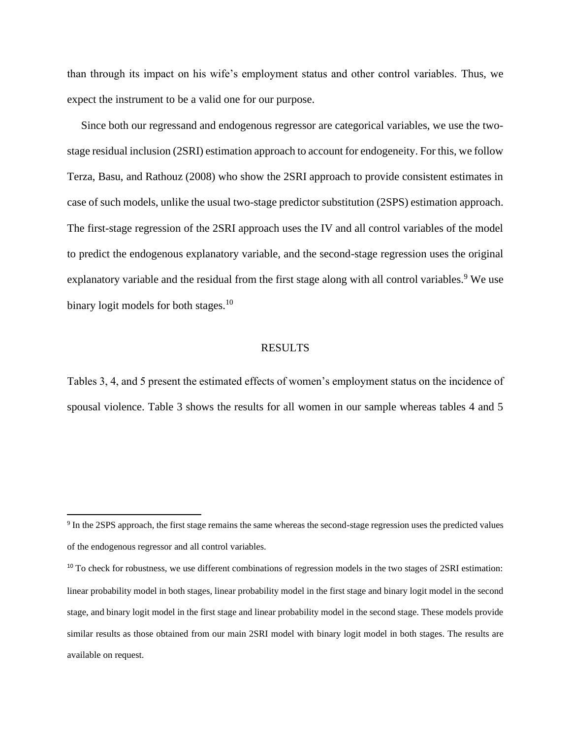than through its impact on his wife's employment status and other control variables. Thus, we expect the instrument to be a valid one for our purpose.

 Since both our regressand and endogenous regressor are categorical variables, we use the twostage residual inclusion (2SRI) estimation approach to account for endogeneity. For this, we follow Terza, Basu, and Rathouz (2008) who show the 2SRI approach to provide consistent estimates in case of such models, unlike the usual two-stage predictor substitution (2SPS) estimation approach. The first-stage regression of the 2SRI approach uses the IV and all control variables of the model to predict the endogenous explanatory variable, and the second-stage regression uses the original explanatory variable and the residual from the first stage along with all control variables.<sup>9</sup> We use binary logit models for both stages. $10$ 

#### RESULTS

Tables 3, 4, and 5 present the estimated effects of women's employment status on the incidence of spousal violence. Table 3 shows the results for all women in our sample whereas tables 4 and 5

<sup>&</sup>lt;sup>9</sup> In the 2SPS approach, the first stage remains the same whereas the second-stage regression uses the predicted values of the endogenous regressor and all control variables.

<sup>&</sup>lt;sup>10</sup> To check for robustness, we use different combinations of regression models in the two stages of 2SRI estimation: linear probability model in both stages, linear probability model in the first stage and binary logit model in the second stage, and binary logit model in the first stage and linear probability model in the second stage. These models provide similar results as those obtained from our main 2SRI model with binary logit model in both stages. The results are available on request.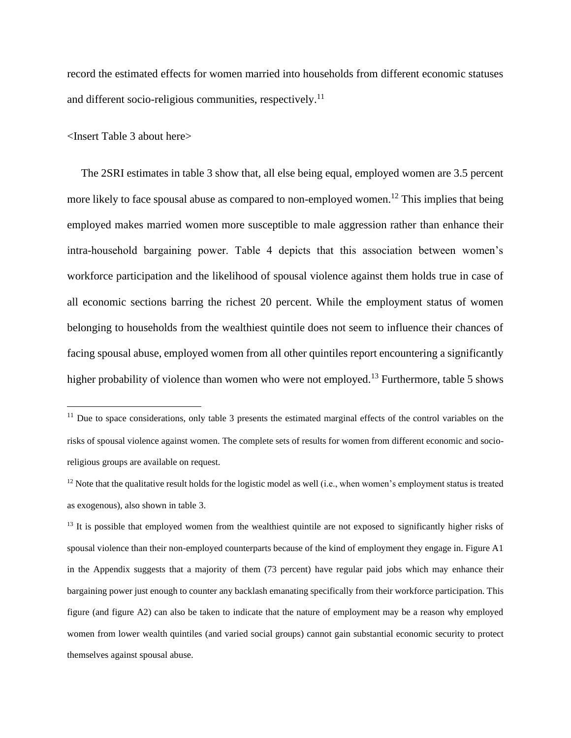record the estimated effects for women married into households from different economic statuses and different socio-religious communities, respectively.<sup>11</sup>

<Insert Table 3 about here>

 The 2SRI estimates in table 3 show that, all else being equal, employed women are 3.5 percent more likely to face spousal abuse as compared to non-employed women.<sup>12</sup> This implies that being employed makes married women more susceptible to male aggression rather than enhance their intra-household bargaining power. Table 4 depicts that this association between women's workforce participation and the likelihood of spousal violence against them holds true in case of all economic sections barring the richest 20 percent. While the employment status of women belonging to households from the wealthiest quintile does not seem to influence their chances of facing spousal abuse, employed women from all other quintiles report encountering a significantly higher probability of violence than women who were not employed.<sup>13</sup> Furthermore, table 5 shows

 $11$  Due to space considerations, only table 3 presents the estimated marginal effects of the control variables on the risks of spousal violence against women. The complete sets of results for women from different economic and socioreligious groups are available on request.

 $12$  Note that the qualitative result holds for the logistic model as well (i.e., when women's employment status is treated as exogenous), also shown in table 3.

 $<sup>13</sup>$  It is possible that employed women from the wealthiest quintile are not exposed to significantly higher risks of</sup> spousal violence than their non-employed counterparts because of the kind of employment they engage in. Figure A1 in the Appendix suggests that a majority of them (73 percent) have regular paid jobs which may enhance their bargaining power just enough to counter any backlash emanating specifically from their workforce participation. This figure (and figure A2) can also be taken to indicate that the nature of employment may be a reason why employed women from lower wealth quintiles (and varied social groups) cannot gain substantial economic security to protect themselves against spousal abuse.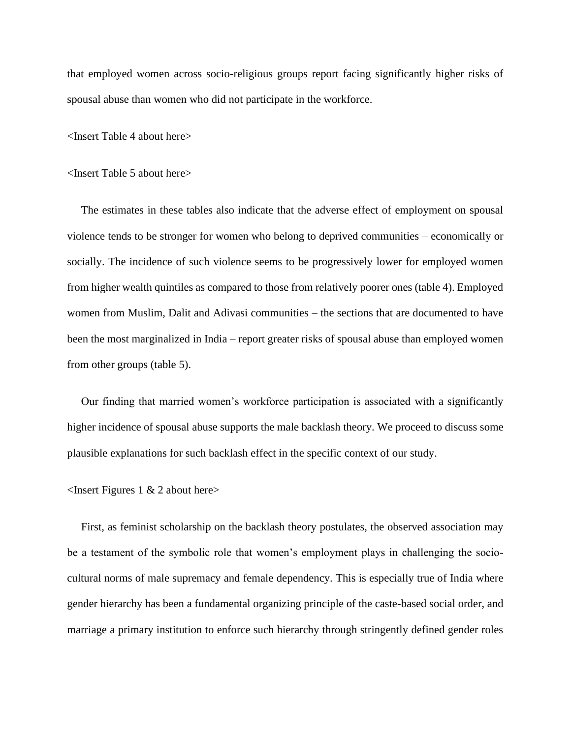that employed women across socio-religious groups report facing significantly higher risks of spousal abuse than women who did not participate in the workforce.

<Insert Table 4 about here>

<Insert Table 5 about here>

 The estimates in these tables also indicate that the adverse effect of employment on spousal violence tends to be stronger for women who belong to deprived communities – economically or socially. The incidence of such violence seems to be progressively lower for employed women from higher wealth quintiles as compared to those from relatively poorer ones (table 4). Employed women from Muslim, Dalit and Adivasi communities – the sections that are documented to have been the most marginalized in India – report greater risks of spousal abuse than employed women from other groups (table 5).

 Our finding that married women's workforce participation is associated with a significantly higher incidence of spousal abuse supports the male backlash theory. We proceed to discuss some plausible explanations for such backlash effect in the specific context of our study.

<Insert Figures 1 & 2 about here>

 First, as feminist scholarship on the backlash theory postulates, the observed association may be a testament of the symbolic role that women's employment plays in challenging the sociocultural norms of male supremacy and female dependency. This is especially true of India where gender hierarchy has been a fundamental organizing principle of the caste-based social order, and marriage a primary institution to enforce such hierarchy through stringently defined gender roles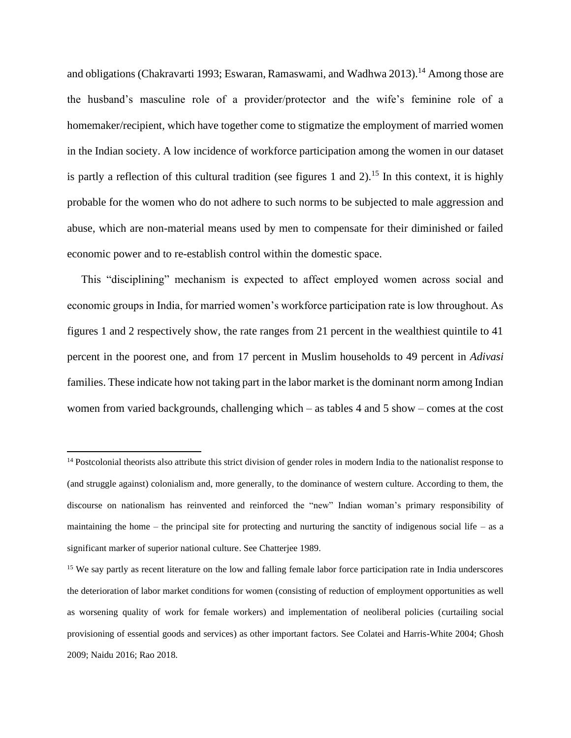and obligations (Chakravarti 1993; Eswaran, Ramaswami, and Wadhwa 2013).<sup>14</sup> Among those are the husband's masculine role of a provider/protector and the wife's feminine role of a homemaker/recipient, which have together come to stigmatize the employment of married women in the Indian society. A low incidence of workforce participation among the women in our dataset is partly a reflection of this cultural tradition (see figures 1 and 2).<sup>15</sup> In this context, it is highly probable for the women who do not adhere to such norms to be subjected to male aggression and abuse, which are non-material means used by men to compensate for their diminished or failed economic power and to re-establish control within the domestic space.

 This "disciplining" mechanism is expected to affect employed women across social and economic groups in India, for married women's workforce participation rate is low throughout. As figures 1 and 2 respectively show, the rate ranges from 21 percent in the wealthiest quintile to 41 percent in the poorest one, and from 17 percent in Muslim households to 49 percent in *Adivasi*  families. These indicate how not taking part in the labor market is the dominant norm among Indian women from varied backgrounds, challenging which – as tables 4 and 5 show – comes at the cost

<sup>&</sup>lt;sup>14</sup> Postcolonial theorists also attribute this strict division of gender roles in modern India to the nationalist response to (and struggle against) colonialism and, more generally, to the dominance of western culture. According to them, the discourse on nationalism has reinvented and reinforced the "new" Indian woman's primary responsibility of maintaining the home – the principal site for protecting and nurturing the sanctity of indigenous social life – as a significant marker of superior national culture. See Chatterjee 1989.

<sup>&</sup>lt;sup>15</sup> We say partly as recent literature on the low and falling female labor force participation rate in India underscores the deterioration of labor market conditions for women (consisting of reduction of employment opportunities as well as worsening quality of work for female workers) and implementation of neoliberal policies (curtailing social provisioning of essential goods and services) as other important factors. See Colatei and Harris-White 2004; Ghosh 2009; Naidu 2016; Rao 2018.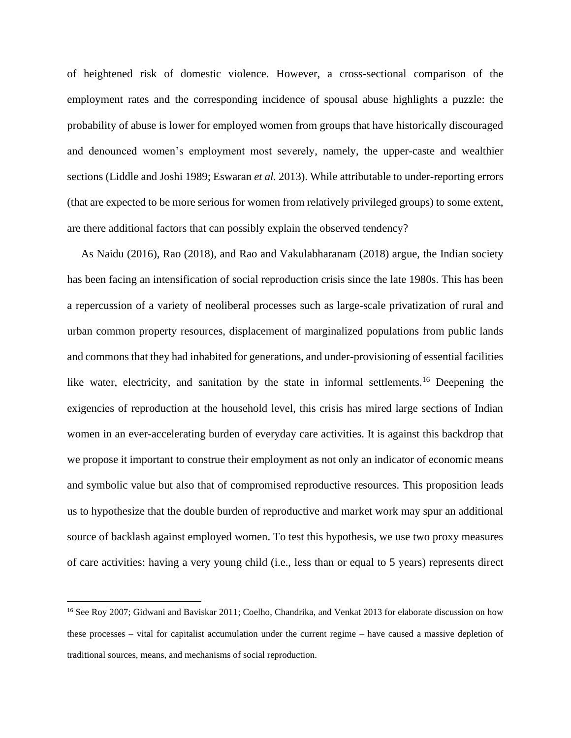of heightened risk of domestic violence. However, a cross-sectional comparison of the employment rates and the corresponding incidence of spousal abuse highlights a puzzle: the probability of abuse is lower for employed women from groups that have historically discouraged and denounced women's employment most severely, namely, the upper-caste and wealthier sections (Liddle and Joshi 1989; Eswaran *et al.* 2013). While attributable to under-reporting errors (that are expected to be more serious for women from relatively privileged groups) to some extent, are there additional factors that can possibly explain the observed tendency?

 As Naidu (2016), Rao (2018), and Rao and Vakulabharanam (2018) argue, the Indian society has been facing an intensification of social reproduction crisis since the late 1980s. This has been a repercussion of a variety of neoliberal processes such as large-scale privatization of rural and urban common property resources, displacement of marginalized populations from public lands and commons that they had inhabited for generations, and under-provisioning of essential facilities like water, electricity, and sanitation by the state in informal settlements.<sup>16</sup> Deepening the exigencies of reproduction at the household level, this crisis has mired large sections of Indian women in an ever-accelerating burden of everyday care activities. It is against this backdrop that we propose it important to construe their employment as not only an indicator of economic means and symbolic value but also that of compromised reproductive resources. This proposition leads us to hypothesize that the double burden of reproductive and market work may spur an additional source of backlash against employed women. To test this hypothesis, we use two proxy measures of care activities: having a very young child (i.e., less than or equal to 5 years) represents direct

<sup>&</sup>lt;sup>16</sup> See Roy 2007; Gidwani and Baviskar 2011; Coelho, Chandrika, and Venkat 2013 for elaborate discussion on how these processes – vital for capitalist accumulation under the current regime – have caused a massive depletion of traditional sources, means, and mechanisms of social reproduction.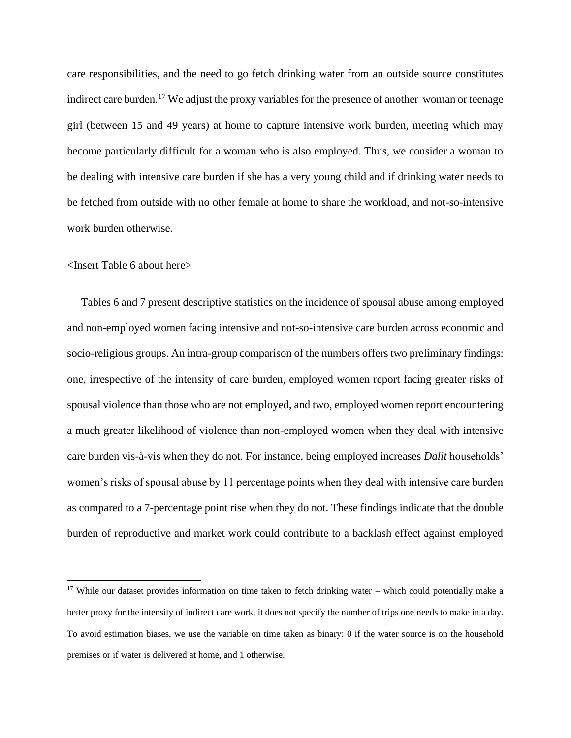care responsibilities, and the need to go fetch drinking water from an outside source constitutes indirect care burden.<sup>17</sup> We adjust the proxy variables for the presence of another woman or teenage girl (between 15 and 49 years) at home to capture intensive work burden, meeting which may become particularly difficult for a woman who is also employed. Thus, we consider a woman to be dealing with intensive care burden if she has a very young child and if drinking water needs to be fetched from outside with no other female at home to share the workload, and not-so-intensive work burden otherwise.

#### <Insert Table 6 about here>

 Tables 6 and 7 present descriptive statistics on the incidence of spousal abuse among employed and non-employed women facing intensive and not-so-intensive care burden across economic and socio-religious groups. An intra-group comparison of the numbers offers two preliminary findings: one, irrespective of the intensity of care burden, employed women report facing greater risks of spousal violence than those who are not employed, and two, employed women report encountering a much greater likelihood of violence than non-employed women when they deal with intensive care burden vis-à-vis when they do not. For instance, being employed increases *Dalit* households' women's risks of spousal abuse by 11 percentage points when they deal with intensive care burden as compared to a 7-percentage point rise when they do not. These findings indicate that the double burden of reproductive and market work could contribute to a backlash effect against employed

 $17$  While our dataset provides information on time taken to fetch drinking water – which could potentially make a better proxy for the intensity of indirect care work, it does not specify the number of trips one needs to make in a day. To avoid estimation biases, we use the variable on time taken as binary: 0 if the water source is on the household premises or if water is delivered at home, and 1 otherwise.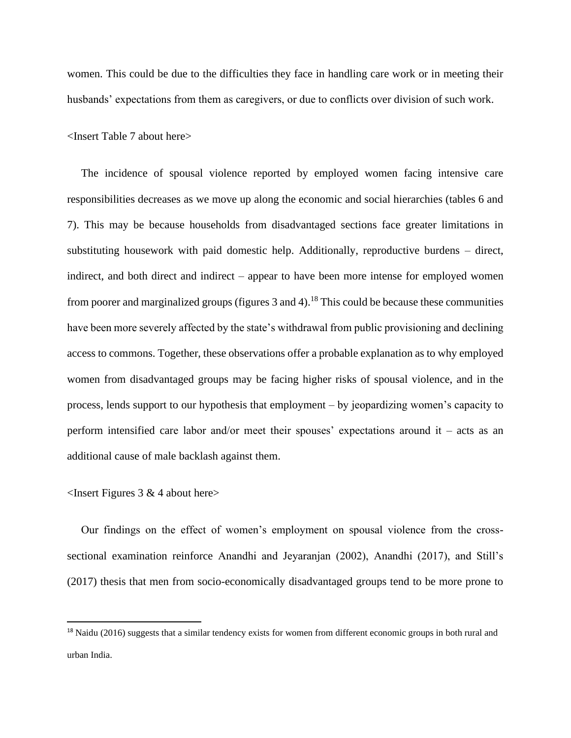women. This could be due to the difficulties they face in handling care work or in meeting their husbands' expectations from them as caregivers, or due to conflicts over division of such work.

<Insert Table 7 about here>

 The incidence of spousal violence reported by employed women facing intensive care responsibilities decreases as we move up along the economic and social hierarchies (tables 6 and 7). This may be because households from disadvantaged sections face greater limitations in substituting housework with paid domestic help. Additionally, reproductive burdens – direct, indirect, and both direct and indirect – appear to have been more intense for employed women from poorer and marginalized groups (figures  $3$  and  $4$ ).<sup>18</sup> This could be because these communities have been more severely affected by the state's withdrawal from public provisioning and declining access to commons. Together, these observations offer a probable explanation as to why employed women from disadvantaged groups may be facing higher risks of spousal violence, and in the process, lends support to our hypothesis that employment – by jeopardizing women's capacity to perform intensified care labor and/or meet their spouses' expectations around it – acts as an additional cause of male backlash against them.

#### $\leq$ Insert Figures 3 & 4 about here $>$

 Our findings on the effect of women's employment on spousal violence from the crosssectional examination reinforce Anandhi and Jeyaranjan (2002), Anandhi (2017), and Still's (2017) thesis that men from socio-economically disadvantaged groups tend to be more prone to

<sup>&</sup>lt;sup>18</sup> Naidu (2016) suggests that a similar tendency exists for women from different economic groups in both rural and urban India.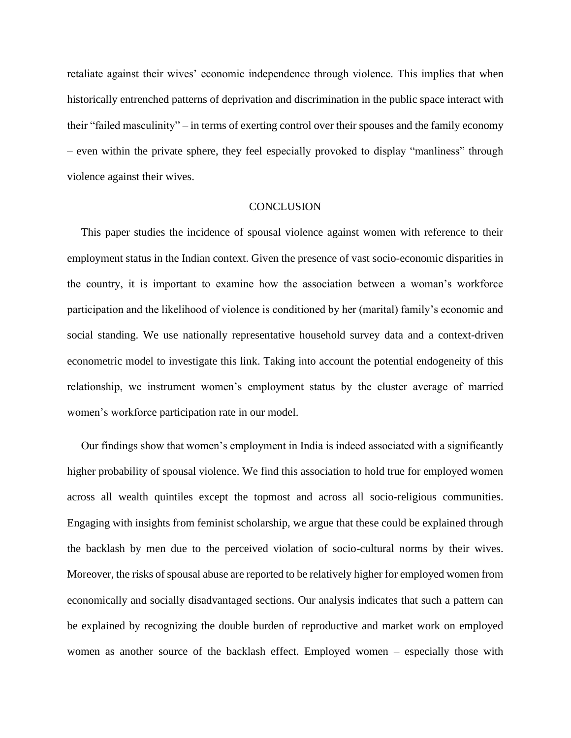retaliate against their wives' economic independence through violence. This implies that when historically entrenched patterns of deprivation and discrimination in the public space interact with their "failed masculinity" – in terms of exerting control over their spouses and the family economy – even within the private sphere, they feel especially provoked to display "manliness" through violence against their wives.

# **CONCLUSION**

 This paper studies the incidence of spousal violence against women with reference to their employment status in the Indian context. Given the presence of vast socio-economic disparities in the country, it is important to examine how the association between a woman's workforce participation and the likelihood of violence is conditioned by her (marital) family's economic and social standing. We use nationally representative household survey data and a context-driven econometric model to investigate this link. Taking into account the potential endogeneity of this relationship, we instrument women's employment status by the cluster average of married women's workforce participation rate in our model.

 Our findings show that women's employment in India is indeed associated with a significantly higher probability of spousal violence. We find this association to hold true for employed women across all wealth quintiles except the topmost and across all socio-religious communities. Engaging with insights from feminist scholarship, we argue that these could be explained through the backlash by men due to the perceived violation of socio-cultural norms by their wives. Moreover, the risks of spousal abuse are reported to be relatively higher for employed women from economically and socially disadvantaged sections. Our analysis indicates that such a pattern can be explained by recognizing the double burden of reproductive and market work on employed women as another source of the backlash effect. Employed women – especially those with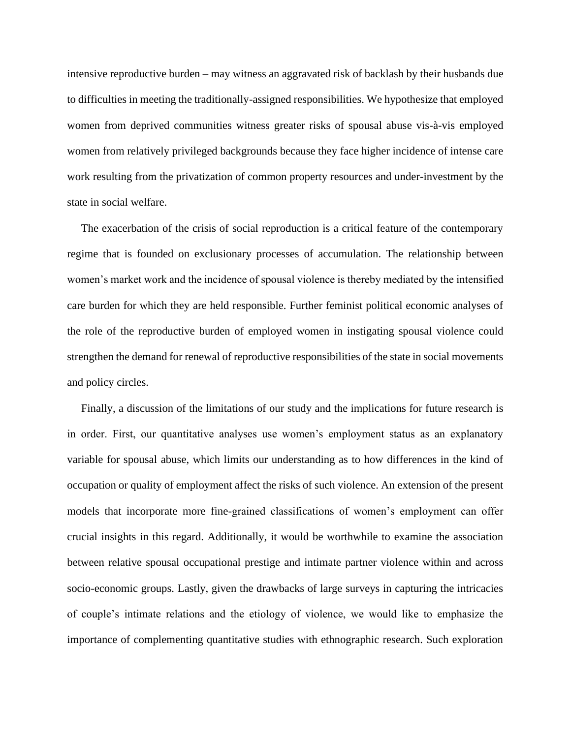intensive reproductive burden – may witness an aggravated risk of backlash by their husbands due to difficulties in meeting the traditionally-assigned responsibilities. We hypothesize that employed women from deprived communities witness greater risks of spousal abuse vis-à-vis employed women from relatively privileged backgrounds because they face higher incidence of intense care work resulting from the privatization of common property resources and under-investment by the state in social welfare.

 The exacerbation of the crisis of social reproduction is a critical feature of the contemporary regime that is founded on exclusionary processes of accumulation. The relationship between women's market work and the incidence of spousal violence is thereby mediated by the intensified care burden for which they are held responsible. Further feminist political economic analyses of the role of the reproductive burden of employed women in instigating spousal violence could strengthen the demand for renewal of reproductive responsibilities of the state in social movements and policy circles.

 Finally, a discussion of the limitations of our study and the implications for future research is in order. First, our quantitative analyses use women's employment status as an explanatory variable for spousal abuse, which limits our understanding as to how differences in the kind of occupation or quality of employment affect the risks of such violence. An extension of the present models that incorporate more fine-grained classifications of women's employment can offer crucial insights in this regard. Additionally, it would be worthwhile to examine the association between relative spousal occupational prestige and intimate partner violence within and across socio-economic groups. Lastly, given the drawbacks of large surveys in capturing the intricacies of couple's intimate relations and the etiology of violence, we would like to emphasize the importance of complementing quantitative studies with ethnographic research. Such exploration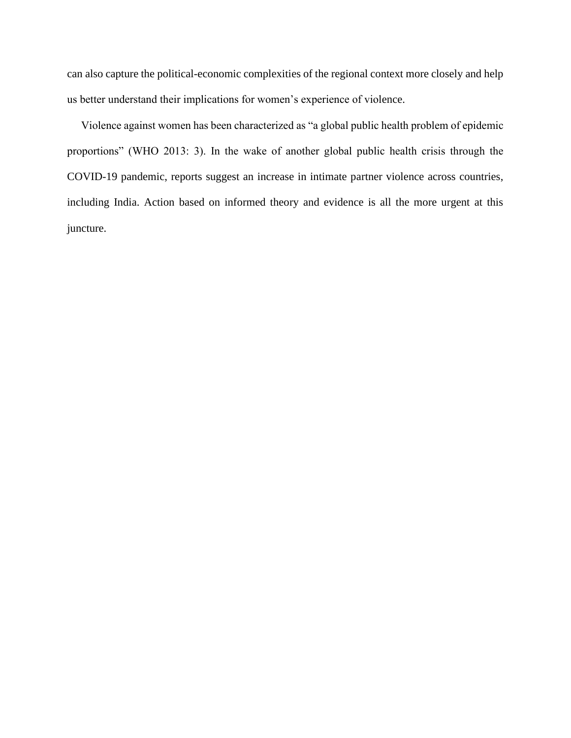can also capture the political-economic complexities of the regional context more closely and help us better understand their implications for women's experience of violence.

 Violence against women has been characterized as "a global public health problem of epidemic proportions" (WHO 2013: 3). In the wake of another global public health crisis through the COVID-19 pandemic, reports suggest an increase in intimate partner violence across countries, including India. Action based on informed theory and evidence is all the more urgent at this juncture.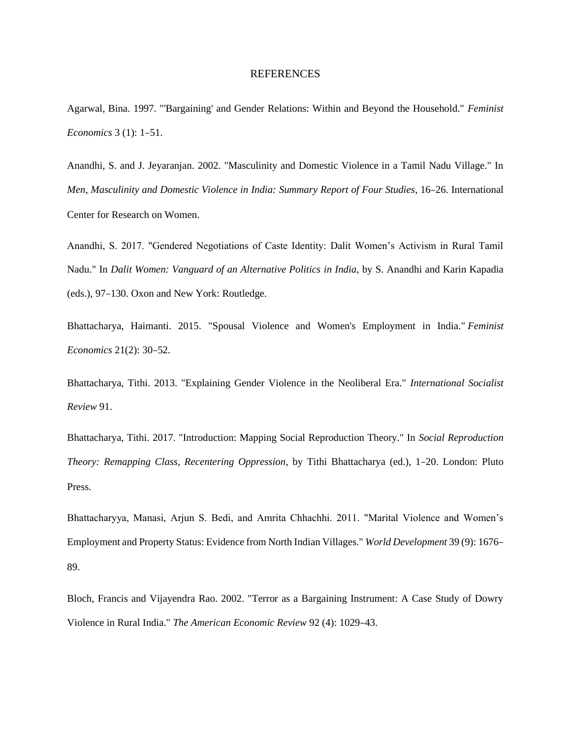#### REFERENCES

Agarwal, Bina. 1997. "'Bargaining' and Gender Relations: Within and Beyond the Household." *Feminist Economics* 3 (1): 1–51.

Anandhi, S. and J. Jeyaranjan. 2002. "Masculinity and Domestic Violence in a Tamil Nadu Village." In *Men, Masculinity and Domestic Violence in India: Summary Report of Four Studies*, 16–26. International Center for Research on Women.

Anandhi, S. 2017. "Gendered Negotiations of Caste Identity: Dalit Women's Activism in Rural Tamil Nadu." In *Dalit Women: Vanguard of an Alternative Politics in India*, by S. Anandhi and Karin Kapadia (eds.), 97–130. Oxon and New York: Routledge.

Bhattacharya, Haimanti. 2015. "Spousal Violence and Women's Employment in India." *Feminist Economics* 21(2): 30–52.

Bhattacharya, Tithi. 2013. "Explaining Gender Violence in the Neoliberal Era." *International Socialist Review* 91.

Bhattacharya, Tithi. 2017. "Introduction: Mapping Social Reproduction Theory." In *Social Reproduction Theory: Remapping Class, Recentering Oppression*, by Tithi Bhattacharya (ed.), 1–20. London: Pluto Press.

Bhattacharyya, Manasi, Arjun S. Bedi, and Amrita Chhachhi. 2011. "Marital Violence and Women's Employment and Property Status: Evidence from North Indian Villages." *World Development* 39 (9): 1676– 89.

Bloch, Francis and Vijayendra Rao. 2002. "Terror as a Bargaining Instrument: A Case Study of Dowry Violence in Rural India." *The American Economic Review* 92 (4): 1029–43.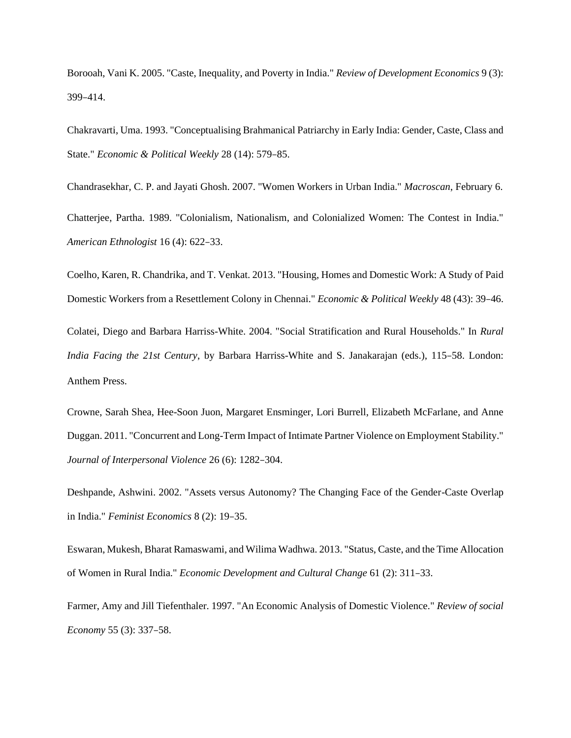Borooah, Vani K. 2005. "Caste, Inequality, and Poverty in India." *Review of Development Economics* 9 (3): 399–414.

Chakravarti, Uma. 1993. "Conceptualising Brahmanical Patriarchy in Early India: Gender, Caste, Class and State." *Economic & Political Weekly* 28 (14): 579–85.

Chandrasekhar, C. P. and Jayati Ghosh. 2007. "Women Workers in Urban India." *Macroscan*, February 6. Chatterjee, Partha. 1989. "Colonialism, Nationalism, and Colonialized Women: The Contest in India." *American Ethnologist* 16 (4): 622–33.

Coelho, Karen, R. Chandrika, and T. Venkat. 2013. "Housing, Homes and Domestic Work: A Study of Paid Domestic Workers from a Resettlement Colony in Chennai." *Economic & Political Weekly* 48 (43): 39–46.

Colatei, Diego and Barbara Harriss-White. 2004. "Social Stratification and Rural Households." In *Rural India Facing the 21st Century*, by Barbara Harriss-White and S. Janakarajan (eds.), 115–58. London: Anthem Press.

Crowne, Sarah Shea, Hee-Soon Juon, Margaret Ensminger, Lori Burrell, Elizabeth McFarlane, and Anne Duggan. 2011. "Concurrent and Long-Term Impact of Intimate Partner Violence on Employment Stability." *Journal of Interpersonal Violence* 26 (6): 1282–304.

Deshpande, Ashwini. 2002. "Assets versus Autonomy? The Changing Face of the Gender-Caste Overlap in India." *Feminist Economics* 8 (2): 19–35.

Eswaran, Mukesh, Bharat Ramaswami, and Wilima Wadhwa. 2013. "Status, Caste, and the Time Allocation of Women in Rural India." *Economic Development and Cultural Change* 61 (2): 311–33.

Farmer, Amy and Jill Tiefenthaler. 1997. "An Economic Analysis of Domestic Violence." *Review of social Economy* 55 (3): 337–58.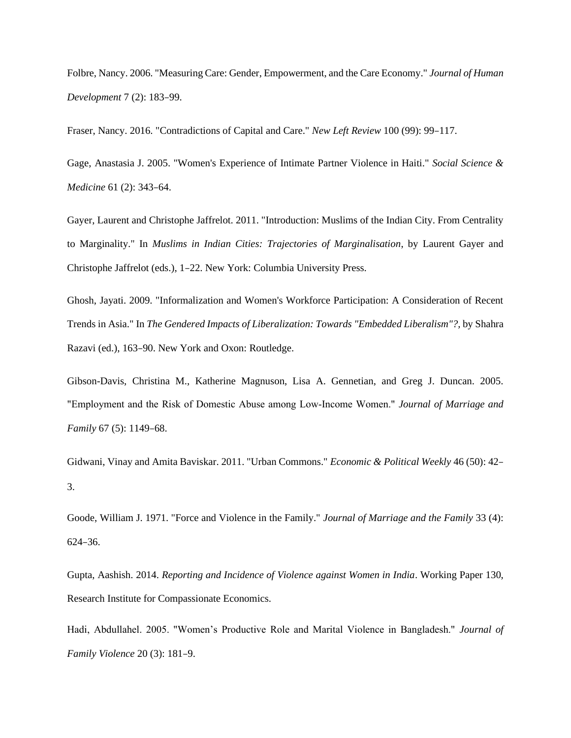Folbre, Nancy. 2006. "Measuring Care: Gender, Empowerment, and the Care Economy." *Journal of Human Development* 7 (2): 183–99.

Fraser, Nancy. 2016. "Contradictions of Capital and Care." *New Left Review* 100 (99): 99–117.

Gage, Anastasia J. 2005. "Women's Experience of Intimate Partner Violence in Haiti." *Social Science & Medicine* 61 (2): 343–64.

Gayer, Laurent and Christophe Jaffrelot. 2011. "Introduction: Muslims of the Indian City. From Centrality to Marginality." In *Muslims in Indian Cities: Trajectories of Marginalisation*, by Laurent Gayer and Christophe Jaffrelot (eds.), 1–22. New York: Columbia University Press.

Ghosh, Jayati. 2009. "Informalization and Women's Workforce Participation: A Consideration of Recent Trends in Asia." In *The Gendered Impacts of Liberalization: Towards "Embedded Liberalism"?,* by Shahra Razavi (ed.), 163–90. New York and Oxon: Routledge.

Gibson-Davis, Christina M., Katherine Magnuson, Lisa A. Gennetian, and Greg J. Duncan. 2005. "Employment and the Risk of Domestic Abuse among Low‐Income Women." *Journal of Marriage and Family* 67 (5): 1149–68.

Gidwani, Vinay and Amita Baviskar. 2011. "Urban Commons." *Economic & Political Weekly* 46 (50): 42– 3.

Goode, William J. 1971. "Force and Violence in the Family." *Journal of Marriage and the Family* 33 (4): 624–36.

Gupta, Aashish. 2014. *Reporting and Incidence of Violence against Women in India*. Working Paper 130, Research Institute for Compassionate Economics.

Hadi, Abdullahel. 2005. "Women's Productive Role and Marital Violence in Bangladesh." *Journal of Family Violence* 20 (3): 181–9.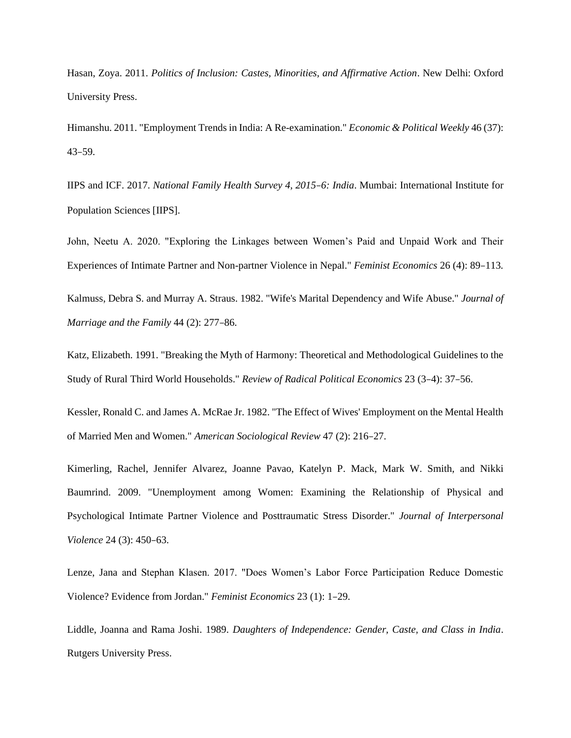Hasan, Zoya. 2011. *Politics of Inclusion: Castes, Minorities, and Affirmative Action*. New Delhi: Oxford University Press.

Himanshu. 2011. "Employment Trends in India: A Re-examination." *Economic & Political Weekly* 46 (37): 43–59.

IIPS and ICF. 2017. *National Family Health Survey 4, 2015*–*6: India*. Mumbai: International Institute for Population Sciences [IIPS].

John, Neetu A. 2020. "Exploring the Linkages between Women's Paid and Unpaid Work and Their Experiences of Intimate Partner and Non-partner Violence in Nepal." *Feminist Economics* 26 (4): 89–113.

Kalmuss, Debra S. and Murray A. Straus. 1982. "Wife's Marital Dependency and Wife Abuse." *Journal of Marriage and the Family* 44 (2): 277–86.

Katz, Elizabeth. 1991. "Breaking the Myth of Harmony: Theoretical and Methodological Guidelines to the Study of Rural Third World Households." *Review of Radical Political Economics* 23 (3–4): 37–56.

Kessler, Ronald C. and James A. McRae Jr. 1982. "The Effect of Wives' Employment on the Mental Health of Married Men and Women." *American Sociological Review* 47 (2): 216–27.

Kimerling, Rachel, Jennifer Alvarez, Joanne Pavao, Katelyn P. Mack, Mark W. Smith, and Nikki Baumrind. 2009. "Unemployment among Women: Examining the Relationship of Physical and Psychological Intimate Partner Violence and Posttraumatic Stress Disorder." *Journal of Interpersonal Violence* 24 (3): 450–63.

Lenze, Jana and Stephan Klasen. 2017. "Does Women's Labor Force Participation Reduce Domestic Violence? Evidence from Jordan." *Feminist Economics* 23 (1): 1–29.

Liddle, Joanna and Rama Joshi. 1989. *Daughters of Independence: Gender, Caste, and Class in India*. Rutgers University Press.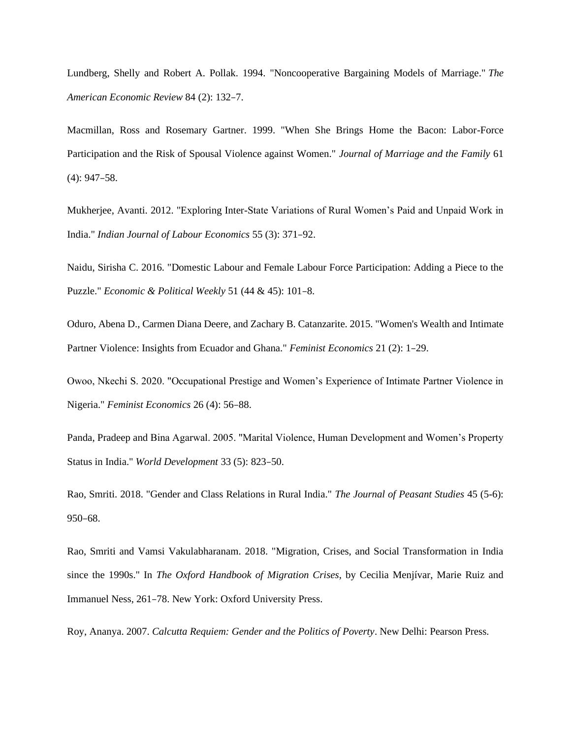Lundberg, Shelly and Robert A. Pollak. 1994. "Noncooperative Bargaining Models of Marriage." *The American Economic Review* 84 (2): 132–7.

Macmillan, Ross and Rosemary Gartner. 1999. "When She Brings Home the Bacon: Labor-Force Participation and the Risk of Spousal Violence against Women." *Journal of Marriage and the Family* 61 (4): 947–58.

Mukherjee, Avanti. 2012. "Exploring Inter-State Variations of Rural Women's Paid and Unpaid Work in India." *Indian Journal of Labour Economics* 55 (3): 371–92.

Naidu, Sirisha C. 2016. "Domestic Labour and Female Labour Force Participation: Adding a Piece to the Puzzle." *Economic & Political Weekly* 51 (44 & 45): 101–8.

Oduro, Abena D., Carmen Diana Deere, and Zachary B. Catanzarite. 2015. "Women's Wealth and Intimate Partner Violence: Insights from Ecuador and Ghana." *Feminist Economics* 21 (2): 1–29.

Owoo, Nkechi S. 2020. "Occupational Prestige and Women's Experience of Intimate Partner Violence in Nigeria." *Feminist Economics* 26 (4): 56–88.

Panda, Pradeep and Bina Agarwal. 2005. "Marital Violence, Human Development and Women's Property Status in India." *World Development* 33 (5): 823–50.

Rao, Smriti. 2018. "Gender and Class Relations in Rural India." *The Journal of Peasant Studies* 45 (5-6): 950–68.

Rao, Smriti and Vamsi Vakulabharanam. 2018. "Migration, Crises, and Social Transformation in India since the 1990s." In *The Oxford Handbook of Migration Crises*, by Cecilia Menjívar, Marie Ruiz and Immanuel Ness, 261–78. New York: Oxford University Press.

Roy, Ananya. 2007. *Calcutta Requiem: Gender and the Politics of Poverty*. New Delhi: Pearson Press.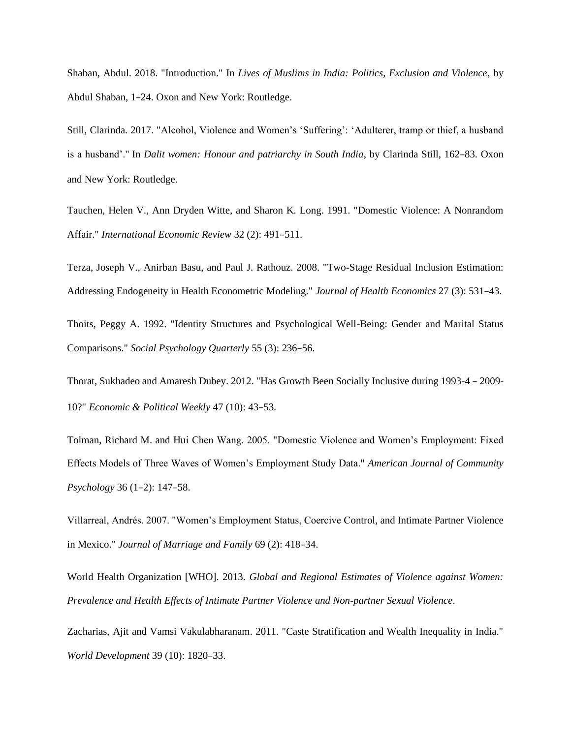Shaban, Abdul. 2018. "Introduction." In *Lives of Muslims in India: Politics, Exclusion and Violence*, by Abdul Shaban, 1–24. Oxon and New York: Routledge.

Still, Clarinda. 2017. "Alcohol, Violence and Women's 'Suffering': 'Adulterer, tramp or thief, a husband is a husband'." In *Dalit women: Honour and patriarchy in South India*, by Clarinda Still, 162–83. Oxon and New York: Routledge.

Tauchen, Helen V., Ann Dryden Witte, and Sharon K. Long. 1991. "Domestic Violence: A Nonrandom Affair." *International Economic Review* 32 (2): 491–511.

Terza, Joseph V., Anirban Basu, and Paul J. Rathouz. 2008. "Two-Stage Residual Inclusion Estimation: Addressing Endogeneity in Health Econometric Modeling." *Journal of Health Economics* 27 (3): 531–43.

Thoits, Peggy A. 1992. "Identity Structures and Psychological Well-Being: Gender and Marital Status Comparisons." *Social Psychology Quarterly* 55 (3): 236–56.

Thorat, Sukhadeo and Amaresh Dubey. 2012. "Has Growth Been Socially Inclusive during 1993-4 – 2009- 10?" *Economic & Political Weekly* 47 (10): 43–53.

Tolman, Richard M. and Hui Chen Wang. 2005. "Domestic Violence and Women's Employment: Fixed Effects Models of Three Waves of Women's Employment Study Data." *American Journal of Community Psychology* 36 (1–2): 147–58.

Villarreal, Andrés. 2007. "Women's Employment Status, Coercive Control, and Intimate Partner Violence in Mexico." *Journal of Marriage and Family* 69 (2): 418–34.

World Health Organization [WHO]. 2013. *Global and Regional Estimates of Violence against Women: Prevalence and Health Effects of Intimate Partner Violence and Non-partner Sexual Violence*.

Zacharias, Ajit and Vamsi Vakulabharanam. 2011. "Caste Stratification and Wealth Inequality in India." *World Development* 39 (10): 1820–33.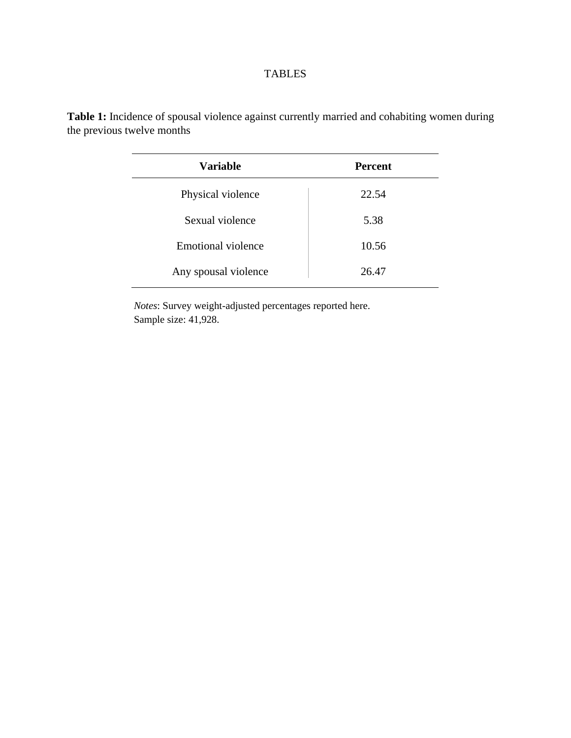# TABLES

| Variable             | <b>Percent</b> |
|----------------------|----------------|
| Physical violence    | 22.54          |
| Sexual violence      | 5.38           |
| Emotional violence   | 10.56          |
| Any spousal violence | 26.47          |

**Table 1:** Incidence of spousal violence against currently married and cohabiting women during the previous twelve months

> *Notes*: Survey weight-adjusted percentages reported here. Sample size: 41,928.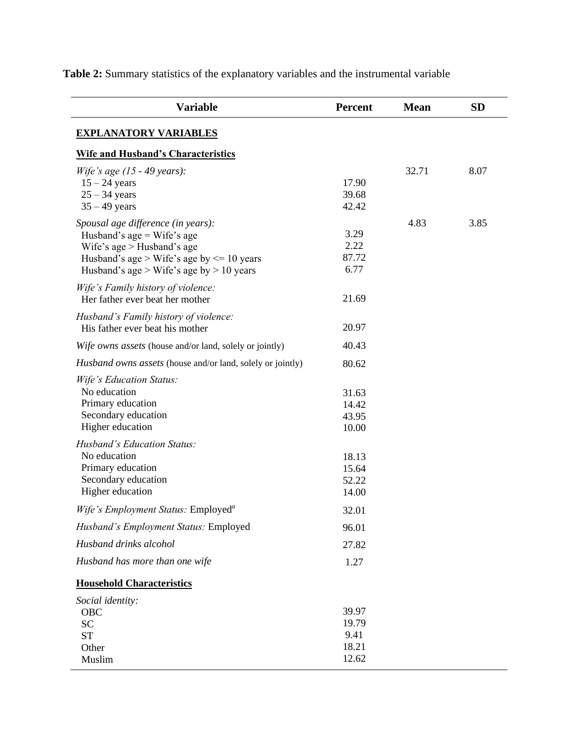| 17.90<br>39.68<br>42.42          | 32.71 | 8.07 |
|----------------------------------|-------|------|
| 3.29<br>2.22<br>87.72<br>6.77    | 4.83  | 3.85 |
| 21.69                            |       |      |
| 20.97                            |       |      |
| 40.43                            |       |      |
| 80.62                            |       |      |
| 31.63<br>14.42<br>43.95<br>10.00 |       |      |
| 18.13<br>15.64<br>52.22<br>14.00 |       |      |
|                                  |       |      |
| 96.01                            |       |      |
| 27.82                            |       |      |
| 1.27                             |       |      |
|                                  |       |      |
| 39.97<br>19.79                   |       |      |
|                                  | 32.01 |      |

**Table 2:** Summary statistics of the explanatory variables and the instrumental variable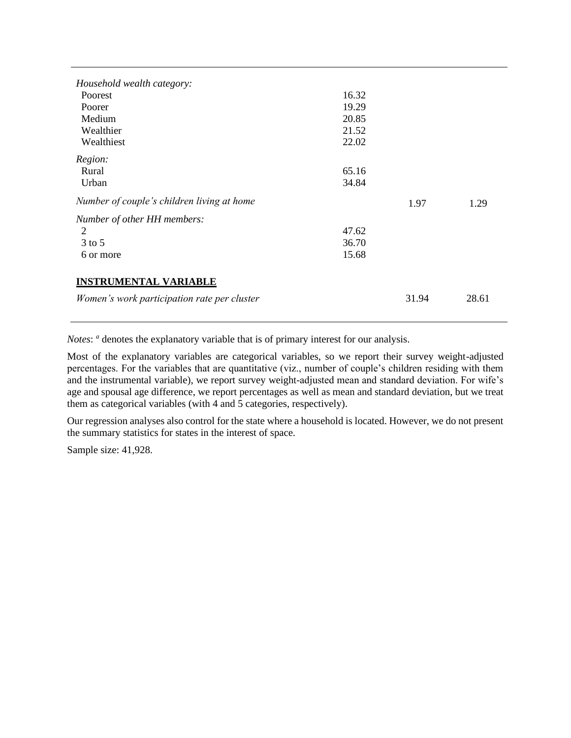| Household wealth category:                  |       |       |       |
|---------------------------------------------|-------|-------|-------|
| Poorest                                     | 16.32 |       |       |
| Poorer                                      | 19.29 |       |       |
| Medium                                      | 20.85 |       |       |
| Wealthier                                   | 21.52 |       |       |
| Wealthiest                                  | 22.02 |       |       |
| Region:                                     |       |       |       |
| Rural                                       | 65.16 |       |       |
| Urban                                       | 34.84 |       |       |
| Number of couple's children living at home  |       | 1.97  | 1.29  |
| Number of other HH members:                 |       |       |       |
| 2                                           | 47.62 |       |       |
| $3$ to $5$                                  | 36.70 |       |       |
| 6 or more                                   | 15.68 |       |       |
| <b>INSTRUMENTAL VARIABLE</b>                |       |       |       |
| Women's work participation rate per cluster |       | 31.94 | 28.61 |

*Notes*: *a* denotes the explanatory variable that is of primary interest for our analysis.

Most of the explanatory variables are categorical variables, so we report their survey weight-adjusted percentages. For the variables that are quantitative (viz., number of couple's children residing with them and the instrumental variable), we report survey weight-adjusted mean and standard deviation. For wife's age and spousal age difference, we report percentages as well as mean and standard deviation, but we treat them as categorical variables (with 4 and 5 categories, respectively).

Our regression analyses also control for the state where a household is located. However, we do not present the summary statistics for states in the interest of space.

Sample size: 41,928.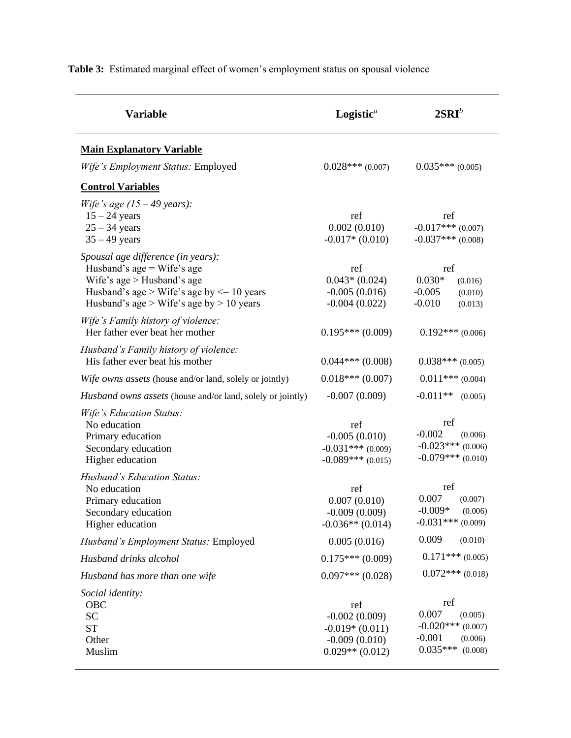| <b>Variable</b>                                                                                                                                                                                 | Logistic <sup><math>a</math></sup>                                                 | $2SRI^b$                                                                                        |  |
|-------------------------------------------------------------------------------------------------------------------------------------------------------------------------------------------------|------------------------------------------------------------------------------------|-------------------------------------------------------------------------------------------------|--|
| <b>Main Explanatory Variable</b>                                                                                                                                                                |                                                                                    |                                                                                                 |  |
| Wife's Employment Status: Employed                                                                                                                                                              | $0.028***(0.007)$                                                                  | $0.035***(0.005)$                                                                               |  |
| <b>Control Variables</b>                                                                                                                                                                        |                                                                                    |                                                                                                 |  |
| Wife's age $(15 - 49$ years):<br>$15 - 24$ years<br>$25 - 34$ years<br>$35 - 49$ years                                                                                                          | ref<br>0.002(0.010)<br>$-0.017*(0.010)$                                            | ref<br>$-0.017***$ (0.007)<br>$-0.037***$ (0.008)                                               |  |
| Spousal age difference (in years):<br>Husband's age $=$ Wife's age<br>Wife's $age$ > Husband's age<br>Husband's age > Wife's age by $\leq$ 10 years<br>Husband's age > Wife's age by > 10 years | ref<br>$0.043*(0.024)$<br>$-0.005(0.016)$<br>$-0.004(0.022)$                       | ref<br>$0.030*$<br>(0.016)<br>$-0.005$<br>(0.010)<br>$-0.010$<br>(0.013)                        |  |
| Wife's Family history of violence:<br>Her father ever beat her mother                                                                                                                           | $0.195***(0.009)$                                                                  | $0.192***(0.006)$                                                                               |  |
| Husband's Family history of violence:<br>His father ever beat his mother                                                                                                                        | $0.044***(0.008)$                                                                  | $0.038***(0.005)$                                                                               |  |
| Wife owns assets (house and/or land, solely or jointly)                                                                                                                                         | $0.018***(0.007)$                                                                  | $0.011***$ (0.004)                                                                              |  |
| <i>Husband owns assets</i> (house and/or land, solely or jointly)                                                                                                                               | $-0.007(0.009)$                                                                    | $-0.011**$<br>(0.005)                                                                           |  |
| Wife's Education Status:<br>No education<br>Primary education<br>Secondary education<br>Higher education                                                                                        | ref<br>$-0.005(0.010)$<br>$-0.031***(0.009)$<br>$-0.089***(0.015)$                 | ref<br>$-0.002$<br>(0.006)<br>$-0.023***$ (0.006)<br>$-0.079***$ (0.010)                        |  |
| Husband's Education Status:<br>No education<br>Primary education<br>Secondary education<br>Higher education                                                                                     | ref<br>0.007(0.010)<br>$-0.009(0.009)$<br>$-0.036**$ (0.014)                       | ref<br>0.007<br>(0.007)<br>$-0.009*$<br>(0.006)<br>$-0.031***$ (0.009)                          |  |
| Husband's Employment Status: Employed                                                                                                                                                           | 0.005(0.016)                                                                       | 0.009<br>(0.010)                                                                                |  |
| Husband drinks alcohol                                                                                                                                                                          | $0.175***(0.009)$                                                                  | $0.171***(0.005)$                                                                               |  |
| Husband has more than one wife                                                                                                                                                                  | $0.097***(0.028)$                                                                  | $0.072$ *** (0.018)                                                                             |  |
| Social identity:<br>OBC<br><b>SC</b><br><b>ST</b><br>Other<br>Muslim                                                                                                                            | ref<br>$-0.002(0.009)$<br>$-0.019*(0.011)$<br>$-0.009(0.010)$<br>$0.029**$ (0.012) | ref<br>0.007<br>(0.005)<br>$-0.020$ *** (0.007)<br>$-0.001$<br>(0.006)<br>$0.035***$<br>(0.008) |  |

**Table 3:** Estimated marginal effect of women's employment status on spousal violence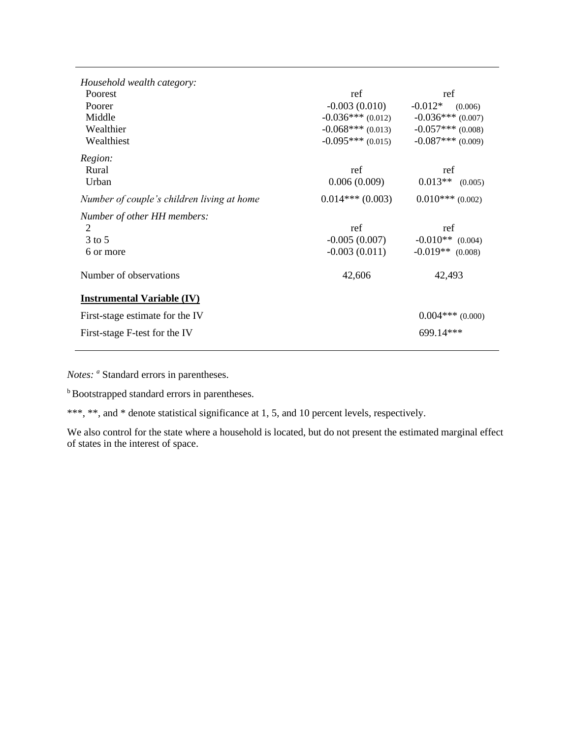| Household wealth category:                 |                     |                      |
|--------------------------------------------|---------------------|----------------------|
| Poorest                                    | ref                 | ref                  |
| Poorer                                     | $-0.003(0.010)$     | $-0.012*$<br>(0.006) |
| Middle                                     | $-0.036***$ (0.012) | $-0.036***$ (0.007)  |
| Wealthier                                  | $-0.068***(0.013)$  | $-0.057***$ (0.008)  |
| Wealthiest                                 | $-0.095***(0.015)$  | $-0.087***$ (0.009)  |
| Region:                                    |                     |                      |
| Rural                                      | ref                 | ref                  |
| Urban                                      | 0.006(0.009)        | $0.013**$ (0.005)    |
| Number of couple's children living at home | $0.014***(0.003)$   | $0.010***$ (0.002)   |
| Number of other HH members:                |                     |                      |
| 2                                          | ref                 | ref                  |
| $3$ to 5                                   | $-0.005(0.007)$     | $-0.010**$ (0.004)   |
| 6 or more                                  | $-0.003(0.011)$     | $-0.019**$ (0.008)   |
| Number of observations                     | 42,606              | 42,493               |
| <b>Instrumental Variable (IV)</b>          |                     |                      |
| First-stage estimate for the IV            |                     | $0.004***$ (0.000)   |
| First-stage F-test for the IV              |                     | 699.14***            |
|                                            |                     |                      |

*Notes: <sup>a</sup>* Standard errors in parentheses.

**b**Bootstrapped standard errors in parentheses.

\*\*\*, \*\*, and \* denote statistical significance at 1, 5, and 10 percent levels, respectively.

We also control for the state where a household is located, but do not present the estimated marginal effect of states in the interest of space.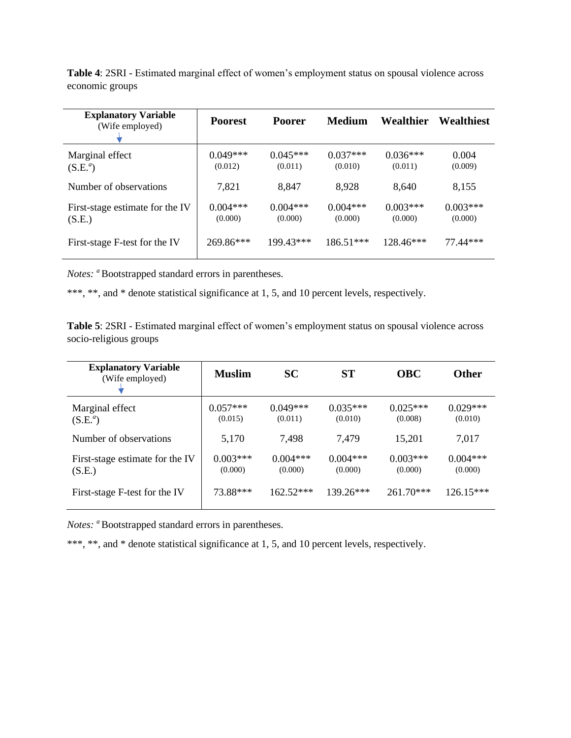**Table 4**: 2SRI - Estimated marginal effect of women's employment status on spousal violence across economic groups

| <b>Explanatory Variable</b><br>(Wife employed) | <b>Poorest</b>        | <b>Poorer</b>         | Medium                | Wealthier             | Wealthiest            |
|------------------------------------------------|-----------------------|-----------------------|-----------------------|-----------------------|-----------------------|
| Marginal effect<br>$(S.E.^a)$                  | $0.049***$<br>(0.012) | $0.045***$<br>(0.011) | $0.037***$<br>(0.010) | $0.036***$<br>(0.011) | 0.004<br>(0.009)      |
| Number of observations                         | 7,821                 | 8,847                 | 8,928                 | 8.640                 | 8,155                 |
| First-stage estimate for the IV<br>(S.E.)      | $0.004***$<br>(0.000) | $0.004***$<br>(0.000) | $0.004***$<br>(0.000) | $0.003***$<br>(0.000) | $0.003***$<br>(0.000) |
| First-stage F-test for the IV                  | 269.86***             | 199.43***             | $186.51***$           | 128.46***             | 77 44***              |

*Notes: a*Bootstrapped standard errors in parentheses.

\*\*\*, \*\*, and \* denote statistical significance at 1, 5, and 10 percent levels, respectively.

**Table 5**: 2SRI - Estimated marginal effect of women's employment status on spousal violence across socio-religious groups

| <b>Explanatory Variable</b><br>(Wife employed) | <b>Muslim</b>         | <b>SC</b>             | <b>ST</b>             | <b>OBC</b>            | <b>Other</b>          |
|------------------------------------------------|-----------------------|-----------------------|-----------------------|-----------------------|-----------------------|
| Marginal effect<br>$(S.E.^a)$                  | $0.057***$<br>(0.015) | $0.049***$<br>(0.011) | $0.035***$<br>(0.010) | $0.025***$<br>(0.008) | $0.029***$<br>(0.010) |
| Number of observations                         | 5,170                 | 7,498                 | 7,479                 | 15,201                | 7,017                 |
| First-stage estimate for the IV<br>(S.E.)      | $0.003***$<br>(0.000) | $0.004***$<br>(0.000) | $0.004***$<br>(0.000) | $0.003***$<br>(0.000) | $0.004***$<br>(0.000) |
| First-stage F-test for the IV                  | 73.88***              | $162.52***$           | $139.26***$           | $261.70***$           | $126.15***$           |

*Notes: a*Bootstrapped standard errors in parentheses.

\*\*\*, \*\*, and \* denote statistical significance at 1, 5, and 10 percent levels, respectively.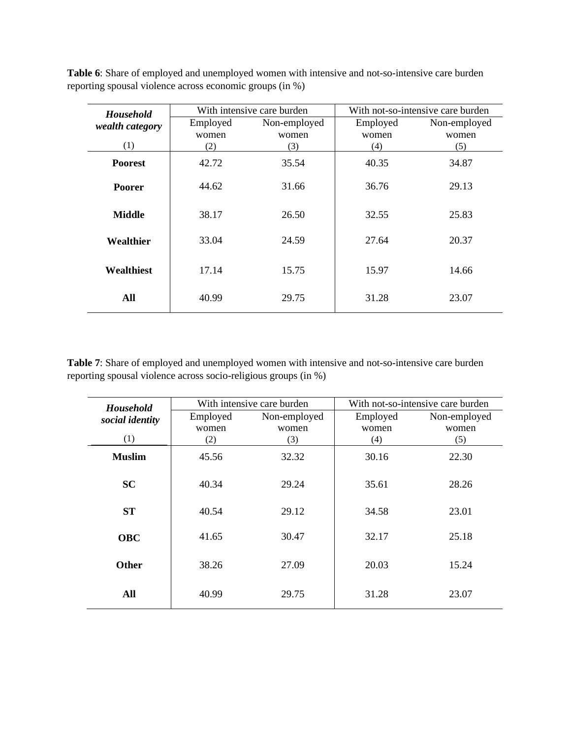**Table 6**: Share of employed and unemployed women with intensive and not-so-intensive care burden reporting spousal violence across economic groups (in %)

| <b>Household</b> |          | With intensive care burden | With not-so-intensive care burden |              |  |
|------------------|----------|----------------------------|-----------------------------------|--------------|--|
| wealth category  | Employed | Non-employed               | Employed                          | Non-employed |  |
|                  | women    | women                      | women                             | women        |  |
| (1)              | (2)      | (3)                        | (4)                               | (5)          |  |
| <b>Poorest</b>   | 42.72    | 35.54                      | 40.35                             | 34.87        |  |
| <b>Poorer</b>    | 44.62    | 31.66                      | 36.76                             | 29.13        |  |
| <b>Middle</b>    | 38.17    | 26.50                      | 32.55                             | 25.83        |  |
| Wealthier        | 33.04    | 24.59                      | 27.64                             | 20.37        |  |
| Wealthiest       | 17.14    | 15.75                      | 15.97                             | 14.66        |  |
| All              | 40.99    | 29.75                      | 31.28                             | 23.07        |  |

**Table 7**: Share of employed and unemployed women with intensive and not-so-intensive care burden reporting spousal violence across socio-religious groups (in %)

| <b>Household</b> |          | With intensive care burden | With not-so-intensive care burden |              |  |
|------------------|----------|----------------------------|-----------------------------------|--------------|--|
| social identity  | Employed | Non-employed               | Employed                          | Non-employed |  |
|                  | women    | women                      | women                             | women        |  |
| (1)              | (2)      | (3)                        | (4)                               | (5)          |  |
| <b>Muslim</b>    | 45.56    | 32.32                      | 30.16                             | 22.30        |  |
| <b>SC</b>        | 40.34    | 29.24                      | 35.61                             | 28.26        |  |
| <b>ST</b>        | 40.54    | 29.12                      | 34.58                             | 23.01        |  |
| <b>OBC</b>       | 41.65    | 30.47                      | 32.17                             | 25.18        |  |
| <b>Other</b>     | 38.26    | 27.09                      | 20.03                             | 15.24        |  |
| All              | 40.99    | 29.75                      | 31.28                             | 23.07        |  |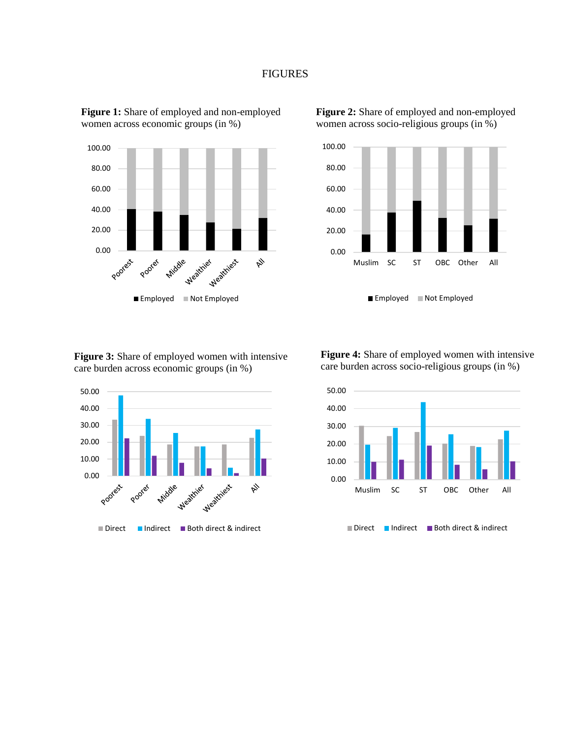#### FIGURES



**Figure 1:** Share of employed and non-employed women across economic groups (in %)



**Figure 2:** Share of employed and non-employed women across socio-religious groups (in %)

**Figure 3:** Share of employed women with intensive care burden across economic groups (in %)



**Figure 4:** Share of employed women with intensive care burden across socio-religious groups (in %)